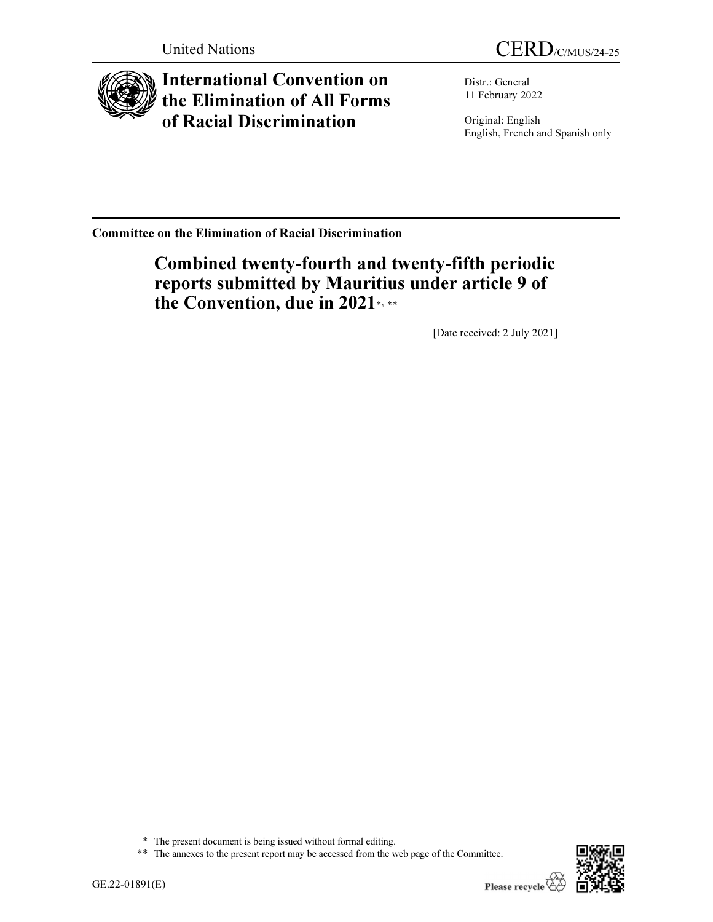

International Convention on the Elimination of All Forms of Racial Discrimination

United Nations CERD/C/MUS/24-25

Distr.: General 11 February 2022

Original: English English, French and Spanish only

Committee on the Elimination of Racial Discrimination

# Combined twenty-fourth and twenty-fifth periodic reports submitted by Mauritius under article 9 of the Convention, due in 2021\*,\*\*

[Date received: 2 July 2021]



 $\overline{a}$ 

<sup>\*</sup> The present document is being issued without formal editing.

<sup>\*\*</sup> The annexes to the present report may be accessed from the web page of the Committee.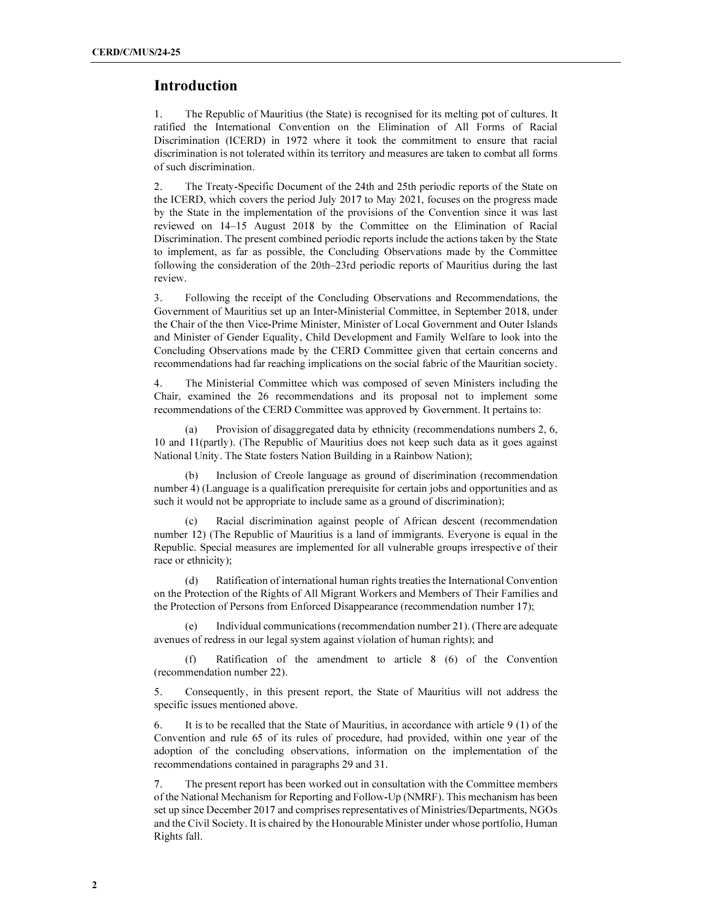# Introduction

1. The Republic of Mauritius (the State) is recognised for its melting pot of cultures. It ratified the International Convention on the Elimination of All Forms of Racial Discrimination (ICERD) in 1972 where it took the commitment to ensure that racial discrimination is not tolerated within its territory and measures are taken to combat all forms of such discrimination.

2. The Treaty-Specific Document of the 24th and 25th periodic reports of the State on the ICERD, which covers the period July 2017 to May 2021, focuses on the progress made by the State in the implementation of the provisions of the Convention since it was last reviewed on 14–15 August 2018 by the Committee on the Elimination of Racial Discrimination. The present combined periodic reports include the actions taken by the State to implement, as far as possible, the Concluding Observations made by the Committee following the consideration of the 20th–23rd periodic reports of Mauritius during the last review.

3. Following the receipt of the Concluding Observations and Recommendations, the Government of Mauritius set up an Inter-Ministerial Committee, in September 2018, under the Chair of the then Vice-Prime Minister, Minister of Local Government and Outer Islands and Minister of Gender Equality, Child Development and Family Welfare to look into the Concluding Observations made by the CERD Committee given that certain concerns and recommendations had far reaching implications on the social fabric of the Mauritian society.

4. The Ministerial Committee which was composed of seven Ministers including the Chair, examined the 26 recommendations and its proposal not to implement some recommendations of the CERD Committee was approved by Government. It pertains to:

Provision of disaggregated data by ethnicity (recommendations numbers 2, 6, 10 and 11(partly). (The Republic of Mauritius does not keep such data as it goes against National Unity. The State fosters Nation Building in a Rainbow Nation);

 (b) Inclusion of Creole language as ground of discrimination (recommendation number 4) (Language is a qualification prerequisite for certain jobs and opportunities and as such it would not be appropriate to include same as a ground of discrimination);

 (c) Racial discrimination against people of African descent (recommendation number 12) (The Republic of Mauritius is a land of immigrants. Everyone is equal in the Republic. Special measures are implemented for all vulnerable groups irrespective of their race or ethnicity);

 (d) Ratification of international human rights treaties the International Convention on the Protection of the Rights of All Migrant Workers and Members of Their Families and the Protection of Persons from Enforced Disappearance (recommendation number 17);

Individual communications (recommendation number 21). (There are adequate avenues of redress in our legal system against violation of human rights); and

 (f) Ratification of the amendment to article 8 (6) of the Convention (recommendation number 22).

5. Consequently, in this present report, the State of Mauritius will not address the specific issues mentioned above.

6. It is to be recalled that the State of Mauritius, in accordance with article 9 (1) of the Convention and rule 65 of its rules of procedure, had provided, within one year of the adoption of the concluding observations, information on the implementation of the recommendations contained in paragraphs 29 and 31.

7. The present report has been worked out in consultation with the Committee members of the National Mechanism for Reporting and Follow-Up (NMRF). This mechanism has been set up since December 2017 and comprises representatives of Ministries/Departments, NGOs and the Civil Society. It is chaired by the Honourable Minister under whose portfolio, Human Rights fall.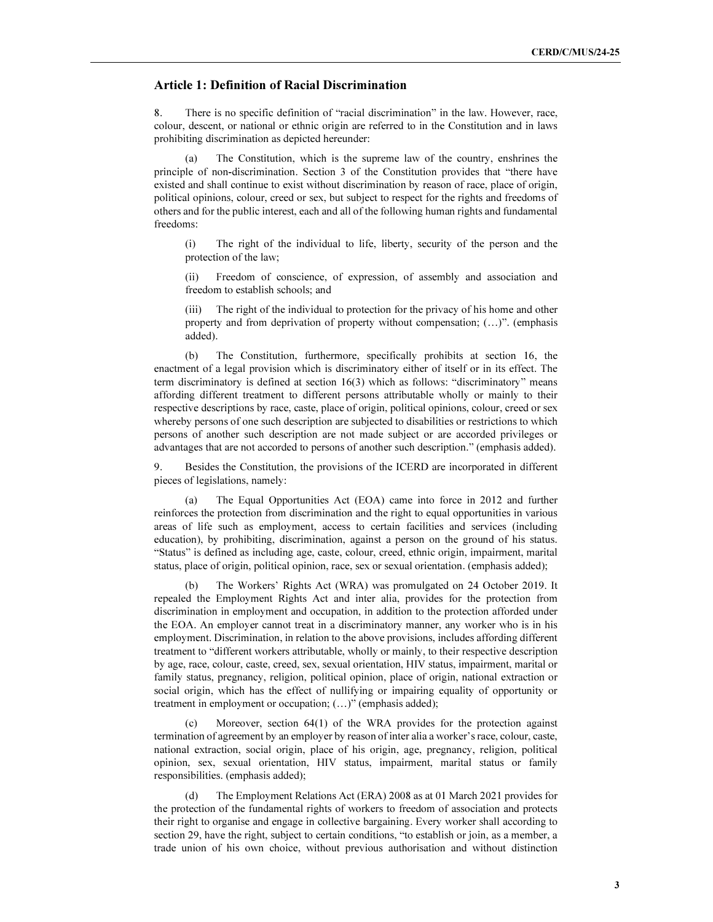# Article 1: Definition of Racial Discrimination

8. There is no specific definition of "racial discrimination" in the law. However, race, colour, descent, or national or ethnic origin are referred to in the Constitution and in laws prohibiting discrimination as depicted hereunder:

 (a) The Constitution, which is the supreme law of the country, enshrines the principle of non-discrimination. Section 3 of the Constitution provides that "there have existed and shall continue to exist without discrimination by reason of race, place of origin, political opinions, colour, creed or sex, but subject to respect for the rights and freedoms of others and for the public interest, each and all of the following human rights and fundamental freedoms:

(i) The right of the individual to life, liberty, security of the person and the protection of the law;

(ii) Freedom of conscience, of expression, of assembly and association and freedom to establish schools; and

The right of the individual to protection for the privacy of his home and other property and from deprivation of property without compensation; (…)". (emphasis added).

 (b) The Constitution, furthermore, specifically prohibits at section 16, the enactment of a legal provision which is discriminatory either of itself or in its effect. The term discriminatory is defined at section 16(3) which as follows: "discriminatory" means affording different treatment to different persons attributable wholly or mainly to their respective descriptions by race, caste, place of origin, political opinions, colour, creed or sex whereby persons of one such description are subjected to disabilities or restrictions to which persons of another such description are not made subject or are accorded privileges or advantages that are not accorded to persons of another such description." (emphasis added).

9. Besides the Constitution, the provisions of the ICERD are incorporated in different pieces of legislations, namely:

 (a) The Equal Opportunities Act (EOA) came into force in 2012 and further reinforces the protection from discrimination and the right to equal opportunities in various areas of life such as employment, access to certain facilities and services (including education), by prohibiting, discrimination, against a person on the ground of his status. "Status" is defined as including age, caste, colour, creed, ethnic origin, impairment, marital status, place of origin, political opinion, race, sex or sexual orientation. (emphasis added);

 (b) The Workers' Rights Act (WRA) was promulgated on 24 October 2019. It repealed the Employment Rights Act and inter alia, provides for the protection from discrimination in employment and occupation, in addition to the protection afforded under the EOA. An employer cannot treat in a discriminatory manner, any worker who is in his employment. Discrimination, in relation to the above provisions, includes affording different treatment to "different workers attributable, wholly or mainly, to their respective description by age, race, colour, caste, creed, sex, sexual orientation, HIV status, impairment, marital or family status, pregnancy, religion, political opinion, place of origin, national extraction or social origin, which has the effect of nullifying or impairing equality of opportunity or treatment in employment or occupation; (…)" (emphasis added);

 (c) Moreover, section 64(1) of the WRA provides for the protection against termination of agreement by an employer by reason of inter alia a worker's race, colour, caste, national extraction, social origin, place of his origin, age, pregnancy, religion, political opinion, sex, sexual orientation, HIV status, impairment, marital status or family responsibilities. (emphasis added);

 (d) The Employment Relations Act (ERA) 2008 as at 01 March 2021 provides for the protection of the fundamental rights of workers to freedom of association and protects their right to organise and engage in collective bargaining. Every worker shall according to section 29, have the right, subject to certain conditions, "to establish or join, as a member, a trade union of his own choice, without previous authorisation and without distinction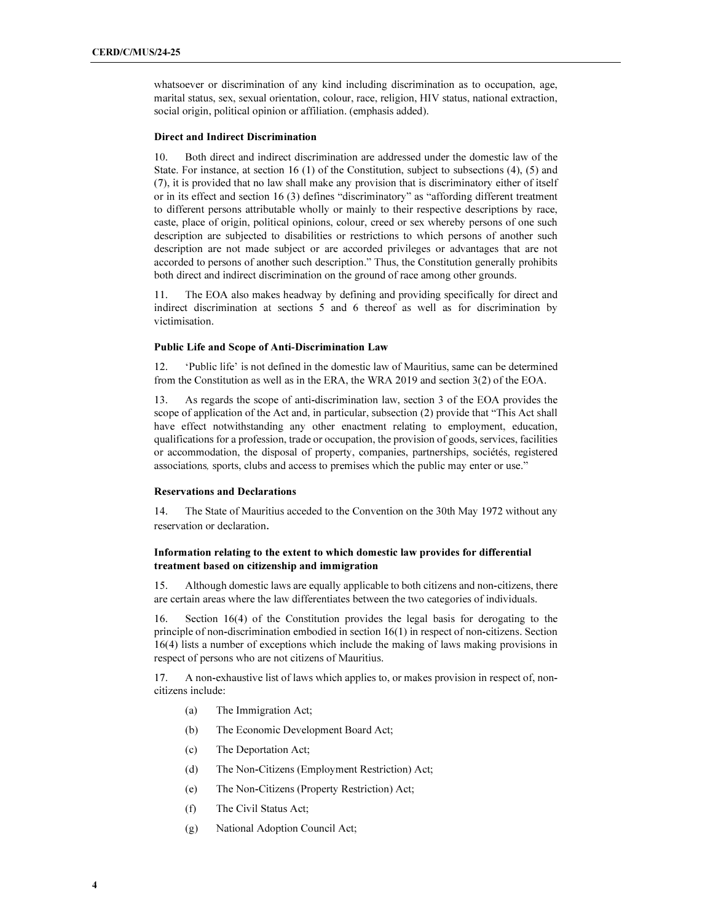whatsoever or discrimination of any kind including discrimination as to occupation, age, marital status, sex, sexual orientation, colour, race, religion, HIV status, national extraction, social origin, political opinion or affiliation. (emphasis added).

#### Direct and Indirect Discrimination

10. Both direct and indirect discrimination are addressed under the domestic law of the State. For instance, at section 16 (1) of the Constitution, subject to subsections (4), (5) and (7), it is provided that no law shall make any provision that is discriminatory either of itself or in its effect and section 16 (3) defines "discriminatory" as "affording different treatment to different persons attributable wholly or mainly to their respective descriptions by race, caste, place of origin, political opinions, colour, creed or sex whereby persons of one such description are subjected to disabilities or restrictions to which persons of another such description are not made subject or are accorded privileges or advantages that are not accorded to persons of another such description." Thus, the Constitution generally prohibits both direct and indirect discrimination on the ground of race among other grounds.

11. The EOA also makes headway by defining and providing specifically for direct and indirect discrimination at sections 5 and 6 thereof as well as for discrimination by victimisation.

#### Public Life and Scope of Anti-Discrimination Law

12. 'Public life' is not defined in the domestic law of Mauritius, same can be determined from the Constitution as well as in the ERA, the WRA 2019 and section 3(2) of the EOA.

13. As regards the scope of anti-discrimination law, section 3 of the EOA provides the scope of application of the Act and, in particular, subsection (2) provide that "This Act shall have effect notwithstanding any other enactment relating to employment, education, qualifications for a profession, trade or occupation, the provision of goods, services, facilities or accommodation, the disposal of property, companies, partnerships, sociétés, registered associations, sports, clubs and access to premises which the public may enter or use."

### Reservations and Declarations

14. The State of Mauritius acceded to the Convention on the 30th May 1972 without any reservation or declaration.

# Information relating to the extent to which domestic law provides for differential treatment based on citizenship and immigration

15. Although domestic laws are equally applicable to both citizens and non-citizens, there are certain areas where the law differentiates between the two categories of individuals.

16. Section 16(4) of the Constitution provides the legal basis for derogating to the principle of non-discrimination embodied in section 16(1) in respect of non-citizens. Section 16(4) lists a number of exceptions which include the making of laws making provisions in respect of persons who are not citizens of Mauritius.

17. A non-exhaustive list of laws which applies to, or makes provision in respect of, noncitizens include:

- (a) The Immigration Act;
- (b) The Economic Development Board Act;
- (c) The Deportation Act;
- (d) The Non-Citizens (Employment Restriction) Act;
- (e) The Non-Citizens (Property Restriction) Act;
- (f) The Civil Status Act;
- (g) National Adoption Council Act;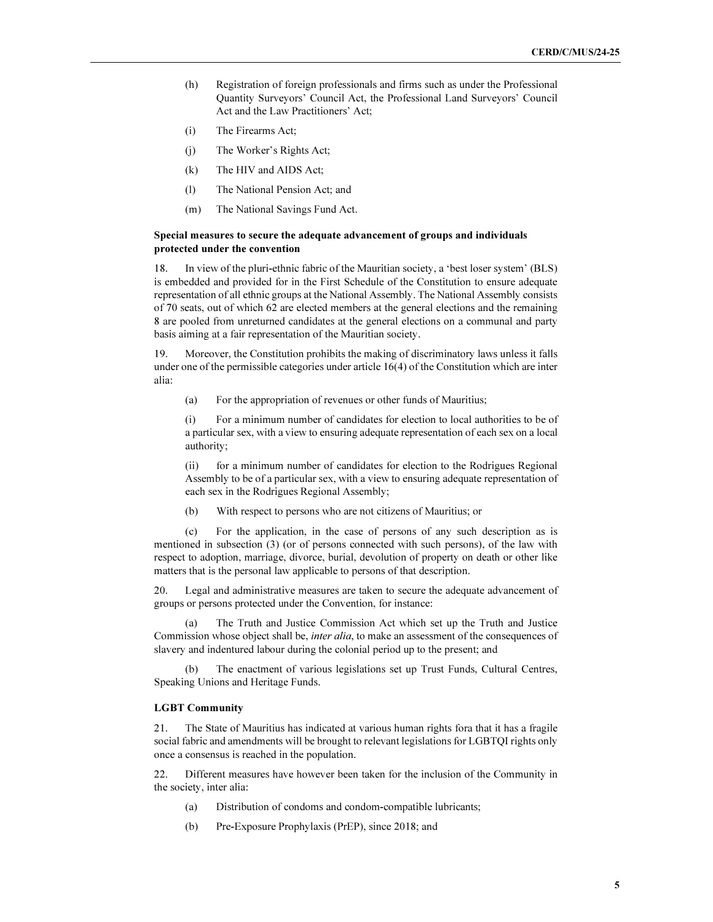- (h) Registration of foreign professionals and firms such as under the Professional Quantity Surveyors' Council Act, the Professional Land Surveyors' Council Act and the Law Practitioners' Act;
- (i) The Firearms Act;
- (j) The Worker's Rights Act;
- (k) The HIV and AIDS Act;
- (l) The National Pension Act; and
- (m) The National Savings Fund Act.

# Special measures to secure the adequate advancement of groups and individuals protected under the convention

18. In view of the pluri-ethnic fabric of the Mauritian society, a 'best loser system' (BLS) is embedded and provided for in the First Schedule of the Constitution to ensure adequate representation of all ethnic groups at the National Assembly. The National Assembly consists of 70 seats, out of which 62 are elected members at the general elections and the remaining 8 are pooled from unreturned candidates at the general elections on a communal and party basis aiming at a fair representation of the Mauritian society.

19. Moreover, the Constitution prohibits the making of discriminatory laws unless it falls under one of the permissible categories under article 16(4) of the Constitution which are inter alia:

(a) For the appropriation of revenues or other funds of Mauritius;

(i) For a minimum number of candidates for election to local authorities to be of a particular sex, with a view to ensuring adequate representation of each sex on a local authority;

(ii) for a minimum number of candidates for election to the Rodrigues Regional Assembly to be of a particular sex, with a view to ensuring adequate representation of each sex in the Rodrigues Regional Assembly;

(b) With respect to persons who are not citizens of Mauritius; or

 (c) For the application, in the case of persons of any such description as is mentioned in subsection (3) (or of persons connected with such persons), of the law with respect to adoption, marriage, divorce, burial, devolution of property on death or other like matters that is the personal law applicable to persons of that description.

20. Legal and administrative measures are taken to secure the adequate advancement of groups or persons protected under the Convention, for instance:

 (a) The Truth and Justice Commission Act which set up the Truth and Justice Commission whose object shall be, *inter alia*, to make an assessment of the consequences of slavery and indentured labour during the colonial period up to the present; and

 (b) The enactment of various legislations set up Trust Funds, Cultural Centres, Speaking Unions and Heritage Funds.

#### LGBT Community

21. The State of Mauritius has indicated at various human rights fora that it has a fragile social fabric and amendments will be brought to relevant legislations for LGBTQI rights only once a consensus is reached in the population.

22. Different measures have however been taken for the inclusion of the Community in the society, inter alia:

- (a) Distribution of condoms and condom-compatible lubricants;
- (b) Pre-Exposure Prophylaxis (PrEP), since 2018; and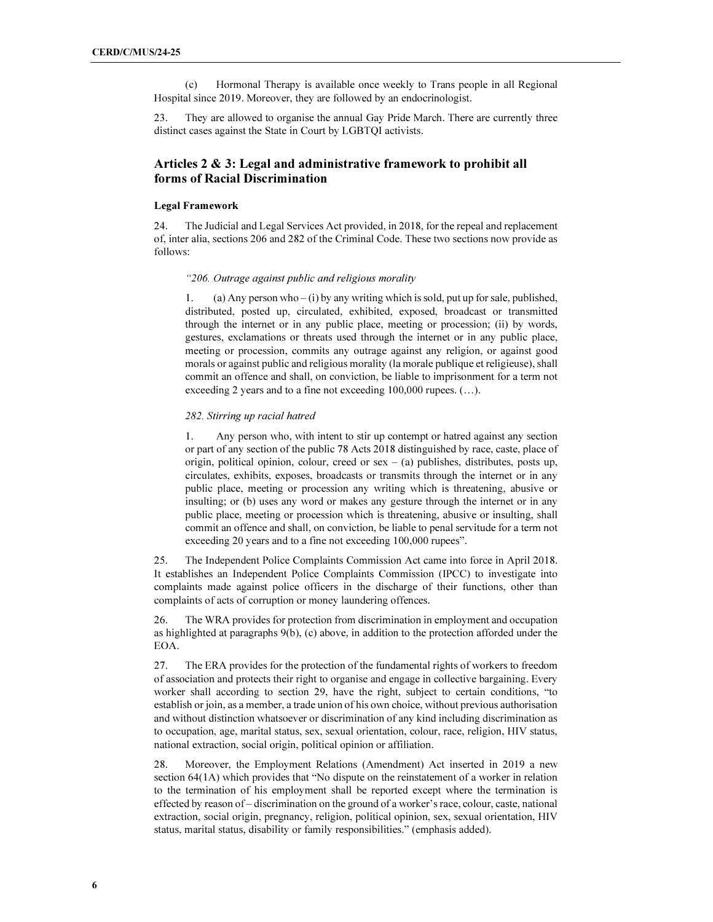(c) Hormonal Therapy is available once weekly to Trans people in all Regional Hospital since 2019. Moreover, they are followed by an endocrinologist.

23. They are allowed to organise the annual Gay Pride March. There are currently three distinct cases against the State in Court by LGBTQI activists.

# Articles 2 & 3: Legal and administrative framework to prohibit all forms of Racial Discrimination

# Legal Framework

24. The Judicial and Legal Services Act provided, in 2018, for the repeal and replacement of, inter alia, sections 206 and 282 of the Criminal Code. These two sections now provide as follows:

#### "206. Outrage against public and religious morality

1. (a) Any person who – (i) by any writing which is sold, put up for sale, published, distributed, posted up, circulated, exhibited, exposed, broadcast or transmitted through the internet or in any public place, meeting or procession; (ii) by words, gestures, exclamations or threats used through the internet or in any public place, meeting or procession, commits any outrage against any religion, or against good morals or against public and religious morality (la morale publique et religieuse), shall commit an offence and shall, on conviction, be liable to imprisonment for a term not exceeding 2 years and to a fine not exceeding 100,000 rupees. (…).

# 282. Stirring up racial hatred

1. Any person who, with intent to stir up contempt or hatred against any section or part of any section of the public 78 Acts 2018 distinguished by race, caste, place of origin, political opinion, colour, creed or  $sex - (a)$  publishes, distributes, posts up, circulates, exhibits, exposes, broadcasts or transmits through the internet or in any public place, meeting or procession any writing which is threatening, abusive or insulting; or (b) uses any word or makes any gesture through the internet or in any public place, meeting or procession which is threatening, abusive or insulting, shall commit an offence and shall, on conviction, be liable to penal servitude for a term not exceeding 20 years and to a fine not exceeding 100,000 rupees".

25. The Independent Police Complaints Commission Act came into force in April 2018. It establishes an Independent Police Complaints Commission (IPCC) to investigate into complaints made against police officers in the discharge of their functions, other than complaints of acts of corruption or money laundering offences.

26. The WRA provides for protection from discrimination in employment and occupation as highlighted at paragraphs 9(b), (c) above, in addition to the protection afforded under the EOA.

27. The ERA provides for the protection of the fundamental rights of workers to freedom of association and protects their right to organise and engage in collective bargaining. Every worker shall according to section 29, have the right, subject to certain conditions, "to establish or join, as a member, a trade union of his own choice, without previous authorisation and without distinction whatsoever or discrimination of any kind including discrimination as to occupation, age, marital status, sex, sexual orientation, colour, race, religion, HIV status, national extraction, social origin, political opinion or affiliation.

28. Moreover, the Employment Relations (Amendment) Act inserted in 2019 a new section 64(1A) which provides that "No dispute on the reinstatement of a worker in relation to the termination of his employment shall be reported except where the termination is effected by reason of – discrimination on the ground of a worker's race, colour, caste, national extraction, social origin, pregnancy, religion, political opinion, sex, sexual orientation, HIV status, marital status, disability or family responsibilities." (emphasis added).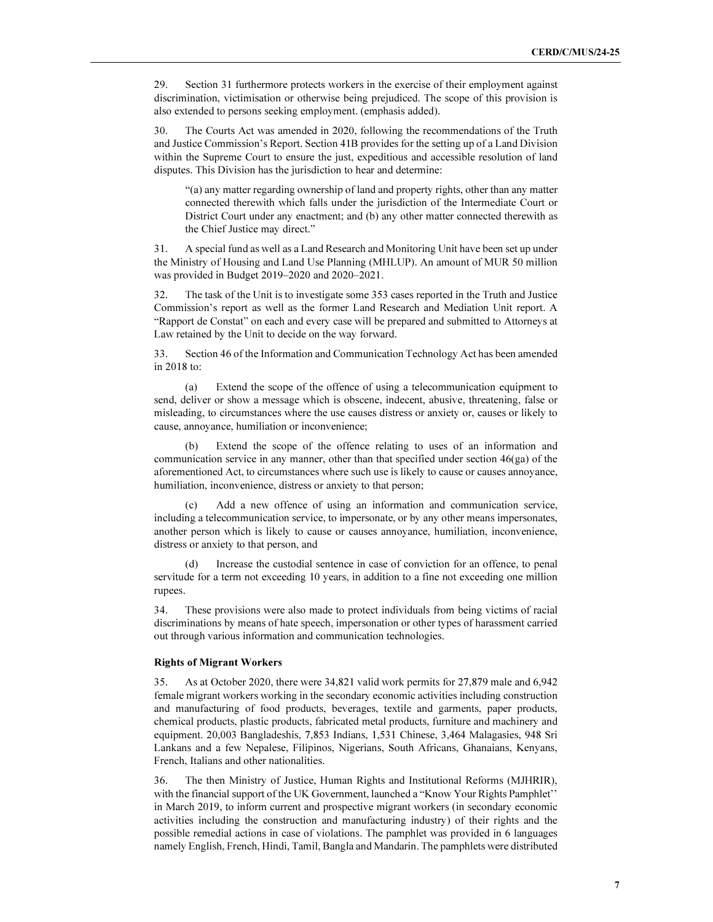29. Section 31 furthermore protects workers in the exercise of their employment against discrimination, victimisation or otherwise being prejudiced. The scope of this provision is also extended to persons seeking employment. (emphasis added).

30. The Courts Act was amended in 2020, following the recommendations of the Truth and Justice Commission's Report. Section 41B provides for the setting up of a Land Division within the Supreme Court to ensure the just, expeditious and accessible resolution of land disputes. This Division has the jurisdiction to hear and determine:

"(a) any matter regarding ownership of land and property rights, other than any matter connected therewith which falls under the jurisdiction of the Intermediate Court or District Court under any enactment; and (b) any other matter connected therewith as the Chief Justice may direct."

31. A special fund as well as a Land Research and Monitoring Unit have been set up under the Ministry of Housing and Land Use Planning (MHLUP). An amount of MUR 50 million was provided in Budget 2019–2020 and 2020–2021.

32. The task of the Unit is to investigate some 353 cases reported in the Truth and Justice Commission's report as well as the former Land Research and Mediation Unit report. A "Rapport de Constat" on each and every case will be prepared and submitted to Attorneys at Law retained by the Unit to decide on the way forward.

33. Section 46 of the Information and Communication Technology Act has been amended in 2018 to:

 (a) Extend the scope of the offence of using a telecommunication equipment to send, deliver or show a message which is obscene, indecent, abusive, threatening, false or misleading, to circumstances where the use causes distress or anxiety or, causes or likely to cause, annoyance, humiliation or inconvenience;

 (b) Extend the scope of the offence relating to uses of an information and communication service in any manner, other than that specified under section 46(ga) of the aforementioned Act, to circumstances where such use is likely to cause or causes annoyance, humiliation, inconvenience, distress or anxiety to that person;

 (c) Add a new offence of using an information and communication service, including a telecommunication service, to impersonate, or by any other means impersonates, another person which is likely to cause or causes annoyance, humiliation, inconvenience, distress or anxiety to that person, and

Increase the custodial sentence in case of conviction for an offence, to penal servitude for a term not exceeding 10 years, in addition to a fine not exceeding one million rupees.

34. These provisions were also made to protect individuals from being victims of racial discriminations by means of hate speech, impersonation or other types of harassment carried out through various information and communication technologies.

#### Rights of Migrant Workers

35. As at October 2020, there were 34,821 valid work permits for 27,879 male and 6,942 female migrant workers working in the secondary economic activities including construction and manufacturing of food products, beverages, textile and garments, paper products, chemical products, plastic products, fabricated metal products, furniture and machinery and equipment. 20,003 Bangladeshis, 7,853 Indians, 1,531 Chinese, 3,464 Malagasies, 948 Sri Lankans and a few Nepalese, Filipinos, Nigerians, South Africans, Ghanaians, Kenyans, French, Italians and other nationalities.

36. The then Ministry of Justice, Human Rights and Institutional Reforms (MJHRIR), with the financial support of the UK Government, launched a "Know Your Rights Pamphlet'' in March 2019, to inform current and prospective migrant workers (in secondary economic activities including the construction and manufacturing industry) of their rights and the possible remedial actions in case of violations. The pamphlet was provided in 6 languages namely English, French, Hindi, Tamil, Bangla and Mandarin. The pamphlets were distributed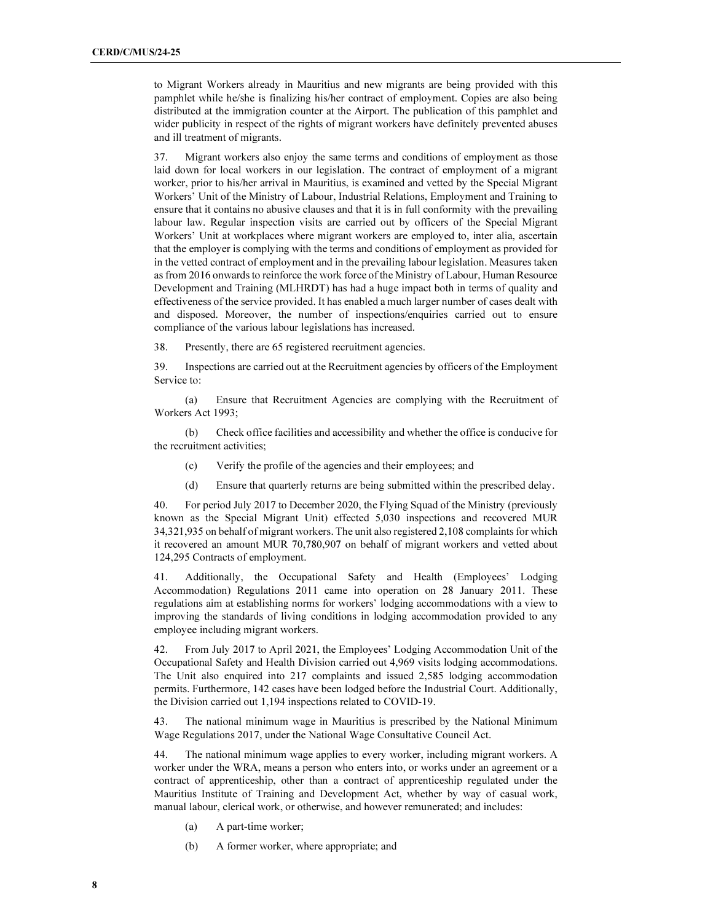to Migrant Workers already in Mauritius and new migrants are being provided with this pamphlet while he/she is finalizing his/her contract of employment. Copies are also being distributed at the immigration counter at the Airport. The publication of this pamphlet and wider publicity in respect of the rights of migrant workers have definitely prevented abuses and ill treatment of migrants.

37. Migrant workers also enjoy the same terms and conditions of employment as those laid down for local workers in our legislation. The contract of employment of a migrant worker, prior to his/her arrival in Mauritius, is examined and vetted by the Special Migrant Workers' Unit of the Ministry of Labour, Industrial Relations, Employment and Training to ensure that it contains no abusive clauses and that it is in full conformity with the prevailing labour law. Regular inspection visits are carried out by officers of the Special Migrant Workers' Unit at workplaces where migrant workers are employed to, inter alia, ascertain that the employer is complying with the terms and conditions of employment as provided for in the vetted contract of employment and in the prevailing labour legislation. Measures taken as from 2016 onwards to reinforce the work force of the Ministry of Labour, Human Resource Development and Training (MLHRDT) has had a huge impact both in terms of quality and effectiveness of the service provided. It has enabled a much larger number of cases dealt with and disposed. Moreover, the number of inspections/enquiries carried out to ensure compliance of the various labour legislations has increased.

38. Presently, there are 65 registered recruitment agencies.

39. Inspections are carried out at the Recruitment agencies by officers of the Employment Service to:

 (a) Ensure that Recruitment Agencies are complying with the Recruitment of Workers Act 1993;

 (b) Check office facilities and accessibility and whether the office is conducive for the recruitment activities;

- (c) Verify the profile of the agencies and their employees; and
- (d) Ensure that quarterly returns are being submitted within the prescribed delay.

40. For period July 2017 to December 2020, the Flying Squad of the Ministry (previously known as the Special Migrant Unit) effected 5,030 inspections and recovered MUR 34,321,935 on behalf of migrant workers. The unit also registered 2,108 complaints for which it recovered an amount MUR 70,780,907 on behalf of migrant workers and vetted about 124,295 Contracts of employment.

41. Additionally, the Occupational Safety and Health (Employees' Lodging Accommodation) Regulations 2011 came into operation on 28 January 2011. These regulations aim at establishing norms for workers' lodging accommodations with a view to improving the standards of living conditions in lodging accommodation provided to any employee including migrant workers.

42. From July 2017 to April 2021, the Employees' Lodging Accommodation Unit of the Occupational Safety and Health Division carried out 4,969 visits lodging accommodations. The Unit also enquired into 217 complaints and issued 2,585 lodging accommodation permits. Furthermore, 142 cases have been lodged before the Industrial Court. Additionally, the Division carried out 1,194 inspections related to COVID-19.

43. The national minimum wage in Mauritius is prescribed by the National Minimum Wage Regulations 2017, under the National Wage Consultative Council Act.

44. The national minimum wage applies to every worker, including migrant workers. A worker under the WRA, means a person who enters into, or works under an agreement or a contract of apprenticeship, other than a contract of apprenticeship regulated under the Mauritius Institute of Training and Development Act, whether by way of casual work, manual labour, clerical work, or otherwise, and however remunerated; and includes:

- (a) A part-time worker;
- (b) A former worker, where appropriate; and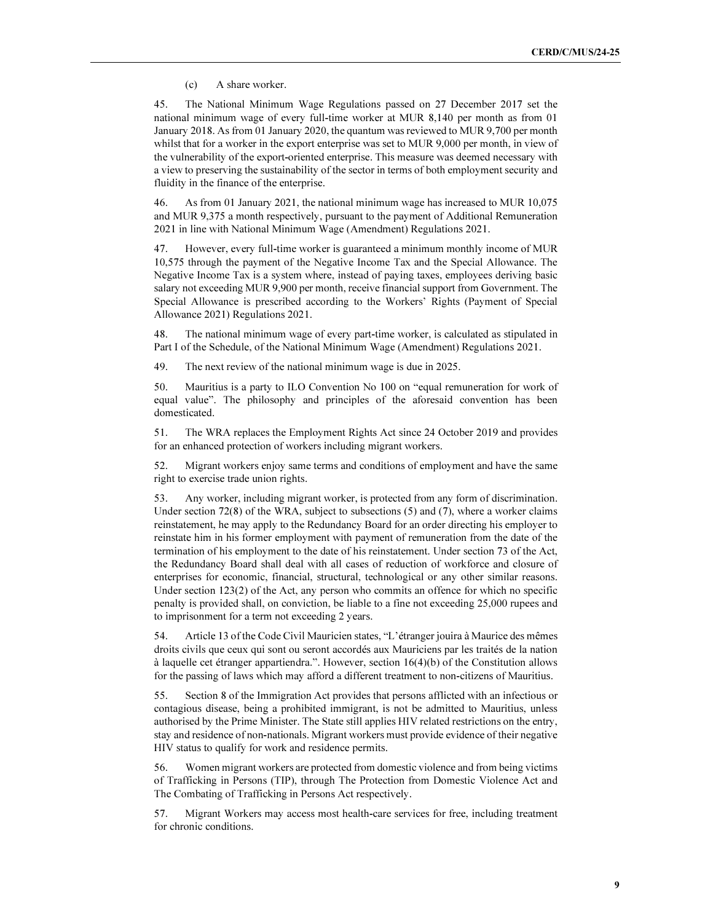(c) A share worker.

45. The National Minimum Wage Regulations passed on 27 December 2017 set the national minimum wage of every full-time worker at MUR 8,140 per month as from 01 January 2018. As from 01 January 2020, the quantum was reviewed to MUR 9,700 per month whilst that for a worker in the export enterprise was set to MUR 9,000 per month, in view of the vulnerability of the export-oriented enterprise. This measure was deemed necessary with a view to preserving the sustainability of the sector in terms of both employment security and fluidity in the finance of the enterprise.

46. As from 01 January 2021, the national minimum wage has increased to MUR 10,075 and MUR 9,375 a month respectively, pursuant to the payment of Additional Remuneration 2021 in line with National Minimum Wage (Amendment) Regulations 2021.

47. However, every full-time worker is guaranteed a minimum monthly income of MUR 10,575 through the payment of the Negative Income Tax and the Special Allowance. The Negative Income Tax is a system where, instead of paying taxes, employees deriving basic salary not exceeding MUR 9,900 per month, receive financial support from Government. The Special Allowance is prescribed according to the Workers' Rights (Payment of Special Allowance 2021) Regulations 2021.

48. The national minimum wage of every part-time worker, is calculated as stipulated in Part I of the Schedule, of the National Minimum Wage (Amendment) Regulations 2021.

49. The next review of the national minimum wage is due in 2025.

50. Mauritius is a party to ILO Convention No 100 on "equal remuneration for work of equal value". The philosophy and principles of the aforesaid convention has been domesticated.

51. The WRA replaces the Employment Rights Act since 24 October 2019 and provides for an enhanced protection of workers including migrant workers.

52. Migrant workers enjoy same terms and conditions of employment and have the same right to exercise trade union rights.

53. Any worker, including migrant worker, is protected from any form of discrimination. Under section 72(8) of the WRA, subject to subsections (5) and (7), where a worker claims reinstatement, he may apply to the Redundancy Board for an order directing his employer to reinstate him in his former employment with payment of remuneration from the date of the termination of his employment to the date of his reinstatement. Under section 73 of the Act, the Redundancy Board shall deal with all cases of reduction of workforce and closure of enterprises for economic, financial, structural, technological or any other similar reasons. Under section 123(2) of the Act, any person who commits an offence for which no specific penalty is provided shall, on conviction, be liable to a fine not exceeding 25,000 rupees and to imprisonment for a term not exceeding 2 years.

54. Article 13 of the Code Civil Mauricien states, "L'étranger jouira à Maurice des mêmes droits civils que ceux qui sont ou seront accordés aux Mauriciens par les traités de la nation à laquelle cet étranger appartiendra.". However, section 16(4)(b) of the Constitution allows for the passing of laws which may afford a different treatment to non-citizens of Mauritius.

55. Section 8 of the Immigration Act provides that persons afflicted with an infectious or contagious disease, being a prohibited immigrant, is not be admitted to Mauritius, unless authorised by the Prime Minister. The State still applies HIV related restrictions on the entry, stay and residence of non-nationals. Migrant workers must provide evidence of their negative HIV status to qualify for work and residence permits.

56. Women migrant workers are protected from domestic violence and from being victims of Trafficking in Persons (TIP), through The Protection from Domestic Violence Act and The Combating of Trafficking in Persons Act respectively.

57. Migrant Workers may access most health-care services for free, including treatment for chronic conditions.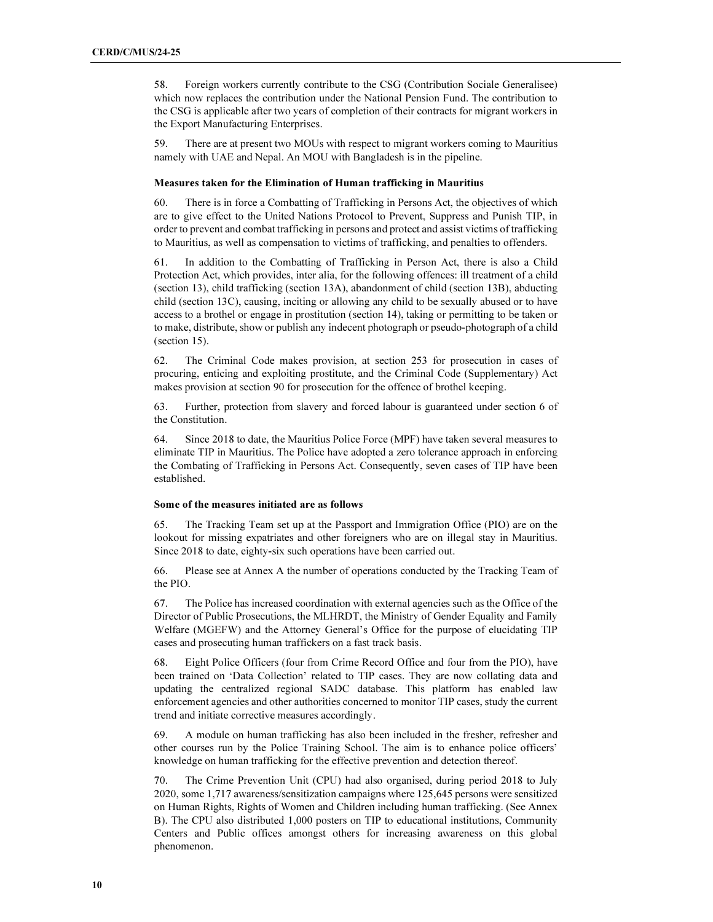58. Foreign workers currently contribute to the CSG (Contribution Sociale Generalisee) which now replaces the contribution under the National Pension Fund. The contribution to the CSG is applicable after two years of completion of their contracts for migrant workers in the Export Manufacturing Enterprises.

59. There are at present two MOUs with respect to migrant workers coming to Mauritius namely with UAE and Nepal. An MOU with Bangladesh is in the pipeline.

#### Measures taken for the Elimination of Human trafficking in Mauritius

60. There is in force a Combatting of Trafficking in Persons Act, the objectives of which are to give effect to the United Nations Protocol to Prevent, Suppress and Punish TIP, in order to prevent and combat trafficking in persons and protect and assist victims of trafficking to Mauritius, as well as compensation to victims of trafficking, and penalties to offenders.

61. In addition to the Combatting of Trafficking in Person Act, there is also a Child Protection Act, which provides, inter alia, for the following offences: ill treatment of a child (section 13), child trafficking (section 13A), abandonment of child (section 13B), abducting child (section 13C), causing, inciting or allowing any child to be sexually abused or to have access to a brothel or engage in prostitution (section 14), taking or permitting to be taken or to make, distribute, show or publish any indecent photograph or pseudo-photograph of a child (section 15).

62. The Criminal Code makes provision, at section 253 for prosecution in cases of procuring, enticing and exploiting prostitute, and the Criminal Code (Supplementary) Act makes provision at section 90 for prosecution for the offence of brothel keeping.

63. Further, protection from slavery and forced labour is guaranteed under section 6 of the Constitution.

64. Since 2018 to date, the Mauritius Police Force (MPF) have taken several measures to eliminate TIP in Mauritius. The Police have adopted a zero tolerance approach in enforcing the Combating of Trafficking in Persons Act. Consequently, seven cases of TIP have been established.

# Some of the measures initiated are as follows

65. The Tracking Team set up at the Passport and Immigration Office (PIO) are on the lookout for missing expatriates and other foreigners who are on illegal stay in Mauritius. Since 2018 to date, eighty-six such operations have been carried out.

66. Please see at Annex A the number of operations conducted by the Tracking Team of the PIO.

67. The Police has increased coordination with external agencies such as the Office of the Director of Public Prosecutions, the MLHRDT, the Ministry of Gender Equality and Family Welfare (MGEFW) and the Attorney General's Office for the purpose of elucidating TIP cases and prosecuting human traffickers on a fast track basis.

68. Eight Police Officers (four from Crime Record Office and four from the PIO), have been trained on 'Data Collection' related to TIP cases. They are now collating data and updating the centralized regional SADC database. This platform has enabled law enforcement agencies and other authorities concerned to monitor TIP cases, study the current trend and initiate corrective measures accordingly.

69. A module on human trafficking has also been included in the fresher, refresher and other courses run by the Police Training School. The aim is to enhance police officers' knowledge on human trafficking for the effective prevention and detection thereof.

70. The Crime Prevention Unit (CPU) had also organised, during period 2018 to July 2020, some 1,717 awareness/sensitization campaigns where 125,645 persons were sensitized on Human Rights, Rights of Women and Children including human trafficking. (See Annex B). The CPU also distributed 1,000 posters on TIP to educational institutions, Community Centers and Public offices amongst others for increasing awareness on this global phenomenon.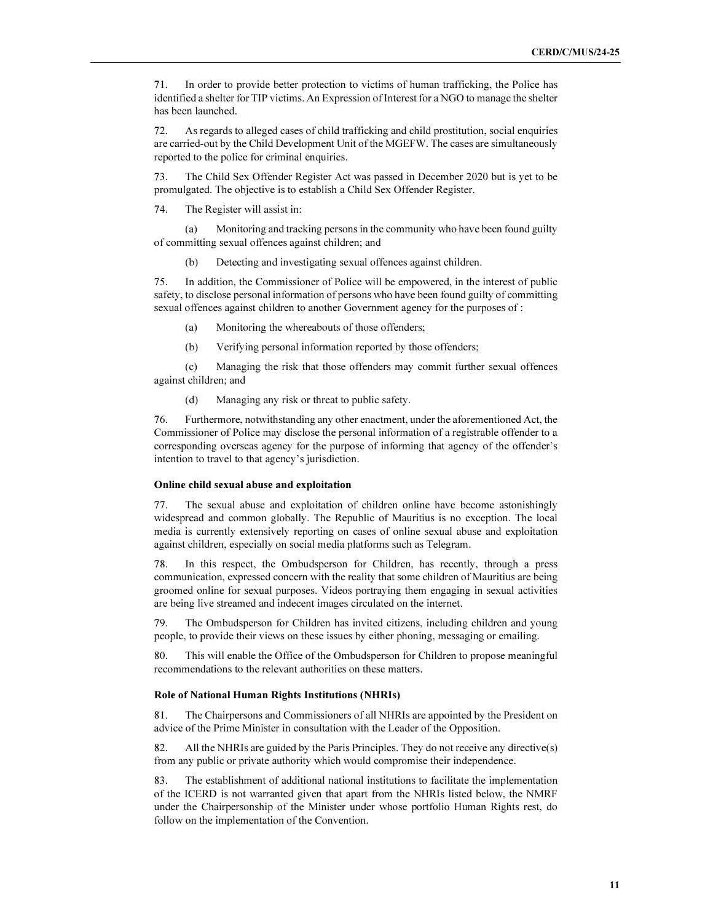71. In order to provide better protection to victims of human trafficking, the Police has identified a shelter for TIP victims. An Expression of Interest for a NGO to manage the shelter has been launched.

72. As regards to alleged cases of child trafficking and child prostitution, social enquiries are carried-out by the Child Development Unit of the MGEFW. The cases are simultaneously reported to the police for criminal enquiries.

73. The Child Sex Offender Register Act was passed in December 2020 but is yet to be promulgated. The objective is to establish a Child Sex Offender Register.

74. The Register will assist in:

 (a) Monitoring and tracking persons in the community who have been found guilty of committing sexual offences against children; and

(b) Detecting and investigating sexual offences against children.

75. In addition, the Commissioner of Police will be empowered, in the interest of public safety, to disclose personal information of persons who have been found guilty of committing sexual offences against children to another Government agency for the purposes of :

- (a) Monitoring the whereabouts of those offenders;
- (b) Verifying personal information reported by those offenders;

 (c) Managing the risk that those offenders may commit further sexual offences against children; and

(d) Managing any risk or threat to public safety.

76. Furthermore, notwithstanding any other enactment, under the aforementioned Act, the Commissioner of Police may disclose the personal information of a registrable offender to a corresponding overseas agency for the purpose of informing that agency of the offender's intention to travel to that agency's jurisdiction.

# Online child sexual abuse and exploitation

77. The sexual abuse and exploitation of children online have become astonishingly widespread and common globally. The Republic of Mauritius is no exception. The local media is currently extensively reporting on cases of online sexual abuse and exploitation against children, especially on social media platforms such as Telegram.

78. In this respect, the Ombudsperson for Children, has recently, through a press communication, expressed concern with the reality that some children of Mauritius are being groomed online for sexual purposes. Videos portraying them engaging in sexual activities are being live streamed and indecent images circulated on the internet.

79. The Ombudsperson for Children has invited citizens, including children and young people, to provide their views on these issues by either phoning, messaging or emailing.

80. This will enable the Office of the Ombudsperson for Children to propose meaningful recommendations to the relevant authorities on these matters.

#### Role of National Human Rights Institutions (NHRIs)

81. The Chairpersons and Commissioners of all NHRIs are appointed by the President on advice of the Prime Minister in consultation with the Leader of the Opposition.

82. All the NHRIs are guided by the Paris Principles. They do not receive any directive(s) from any public or private authority which would compromise their independence.

83. The establishment of additional national institutions to facilitate the implementation of the ICERD is not warranted given that apart from the NHRIs listed below, the NMRF under the Chairpersonship of the Minister under whose portfolio Human Rights rest, do follow on the implementation of the Convention.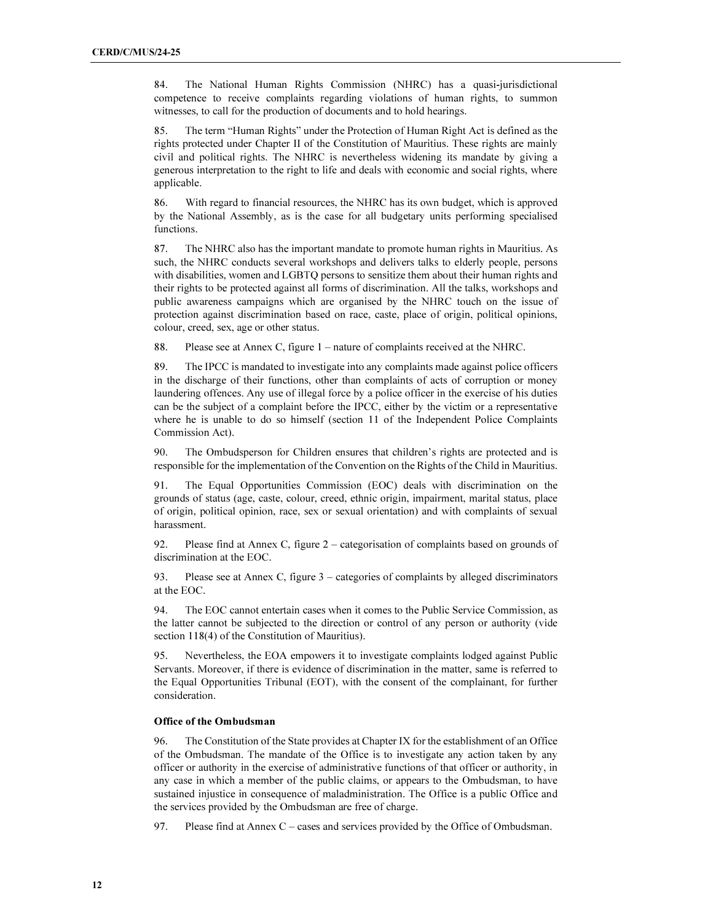84. The National Human Rights Commission (NHRC) has a quasi-jurisdictional competence to receive complaints regarding violations of human rights, to summon witnesses, to call for the production of documents and to hold hearings.

85. The term "Human Rights" under the Protection of Human Right Act is defined as the rights protected under Chapter II of the Constitution of Mauritius. These rights are mainly civil and political rights. The NHRC is nevertheless widening its mandate by giving a generous interpretation to the right to life and deals with economic and social rights, where applicable.

86. With regard to financial resources, the NHRC has its own budget, which is approved by the National Assembly, as is the case for all budgetary units performing specialised functions.

87. The NHRC also has the important mandate to promote human rights in Mauritius. As such, the NHRC conducts several workshops and delivers talks to elderly people, persons with disabilities, women and LGBTQ persons to sensitize them about their human rights and their rights to be protected against all forms of discrimination. All the talks, workshops and public awareness campaigns which are organised by the NHRC touch on the issue of protection against discrimination based on race, caste, place of origin, political opinions, colour, creed, sex, age or other status.

88. Please see at Annex C, figure 1 – nature of complaints received at the NHRC.

89. The IPCC is mandated to investigate into any complaints made against police officers in the discharge of their functions, other than complaints of acts of corruption or money laundering offences. Any use of illegal force by a police officer in the exercise of his duties can be the subject of a complaint before the IPCC, either by the victim or a representative where he is unable to do so himself (section 11 of the Independent Police Complaints Commission Act).

90. The Ombudsperson for Children ensures that children's rights are protected and is responsible for the implementation of the Convention on the Rights of the Child in Mauritius.

91. The Equal Opportunities Commission (EOC) deals with discrimination on the grounds of status (age, caste, colour, creed, ethnic origin, impairment, marital status, place of origin, political opinion, race, sex or sexual orientation) and with complaints of sexual harassment.

92. Please find at Annex C, figure 2 – categorisation of complaints based on grounds of discrimination at the EOC.

93. Please see at Annex C, figure 3 – categories of complaints by alleged discriminators at the EOC.

94. The EOC cannot entertain cases when it comes to the Public Service Commission, as the latter cannot be subjected to the direction or control of any person or authority (vide section 118(4) of the Constitution of Mauritius).

95. Nevertheless, the EOA empowers it to investigate complaints lodged against Public Servants. Moreover, if there is evidence of discrimination in the matter, same is referred to the Equal Opportunities Tribunal (EOT), with the consent of the complainant, for further consideration.

#### Office of the Ombudsman

96. The Constitution of the State provides at Chapter IX for the establishment of an Office of the Ombudsman. The mandate of the Office is to investigate any action taken by any officer or authority in the exercise of administrative functions of that officer or authority, in any case in which a member of the public claims, or appears to the Ombudsman, to have sustained injustice in consequence of maladministration. The Office is a public Office and the services provided by the Ombudsman are free of charge.

97. Please find at Annex C – cases and services provided by the Office of Ombudsman.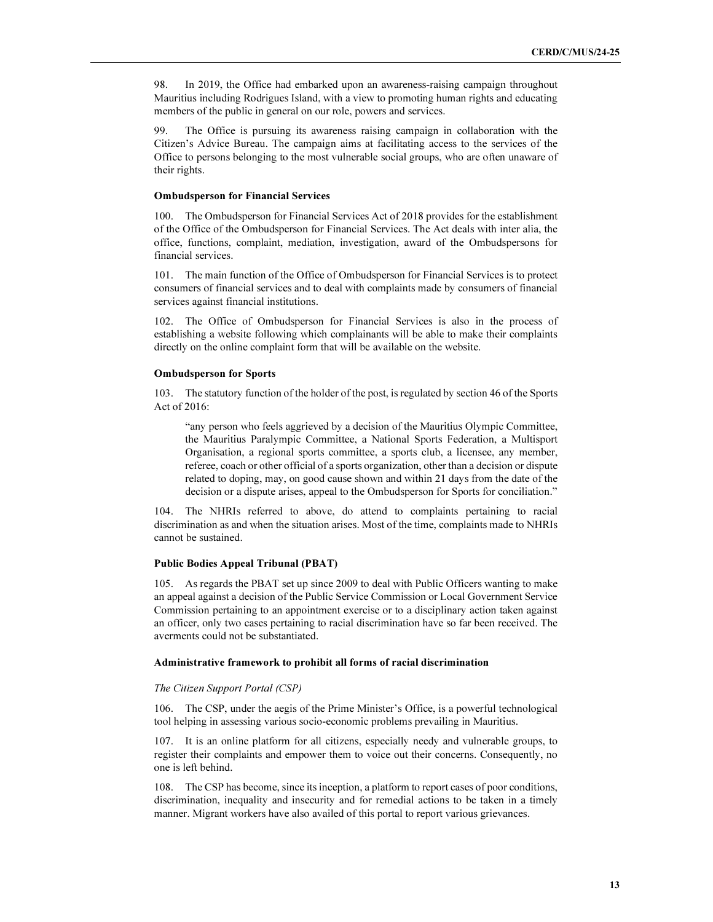98. In 2019, the Office had embarked upon an awareness-raising campaign throughout Mauritius including Rodrigues Island, with a view to promoting human rights and educating members of the public in general on our role, powers and services.

99. The Office is pursuing its awareness raising campaign in collaboration with the Citizen's Advice Bureau. The campaign aims at facilitating access to the services of the Office to persons belonging to the most vulnerable social groups, who are often unaware of their rights.

#### Ombudsperson for Financial Services

100. The Ombudsperson for Financial Services Act of 2018 provides for the establishment of the Office of the Ombudsperson for Financial Services. The Act deals with inter alia, the office, functions, complaint, mediation, investigation, award of the Ombudspersons for financial services.

101. The main function of the Office of Ombudsperson for Financial Services is to protect consumers of financial services and to deal with complaints made by consumers of financial services against financial institutions.

102. The Office of Ombudsperson for Financial Services is also in the process of establishing a website following which complainants will be able to make their complaints directly on the online complaint form that will be available on the website.

#### Ombudsperson for Sports

103. The statutory function of the holder of the post, is regulated by section 46 of the Sports Act of 2016:

"any person who feels aggrieved by a decision of the Mauritius Olympic Committee, the Mauritius Paralympic Committee, a National Sports Federation, a Multisport Organisation, a regional sports committee, a sports club, a licensee, any member, referee, coach or other official of a sports organization, other than a decision or dispute related to doping, may, on good cause shown and within 21 days from the date of the decision or a dispute arises, appeal to the Ombudsperson for Sports for conciliation."

104. The NHRIs referred to above, do attend to complaints pertaining to racial discrimination as and when the situation arises. Most of the time, complaints made to NHRIs cannot be sustained.

### Public Bodies Appeal Tribunal (PBAT)

105. As regards the PBAT set up since 2009 to deal with Public Officers wanting to make an appeal against a decision of the Public Service Commission or Local Government Service Commission pertaining to an appointment exercise or to a disciplinary action taken against an officer, only two cases pertaining to racial discrimination have so far been received. The averments could not be substantiated.

#### Administrative framework to prohibit all forms of racial discrimination

#### The Citizen Support Portal (CSP)

106. The CSP, under the aegis of the Prime Minister's Office, is a powerful technological tool helping in assessing various socio-economic problems prevailing in Mauritius.

107. It is an online platform for all citizens, especially needy and vulnerable groups, to register their complaints and empower them to voice out their concerns. Consequently, no one is left behind.

108. The CSP has become, since its inception, a platform to report cases of poor conditions, discrimination, inequality and insecurity and for remedial actions to be taken in a timely manner. Migrant workers have also availed of this portal to report various grievances.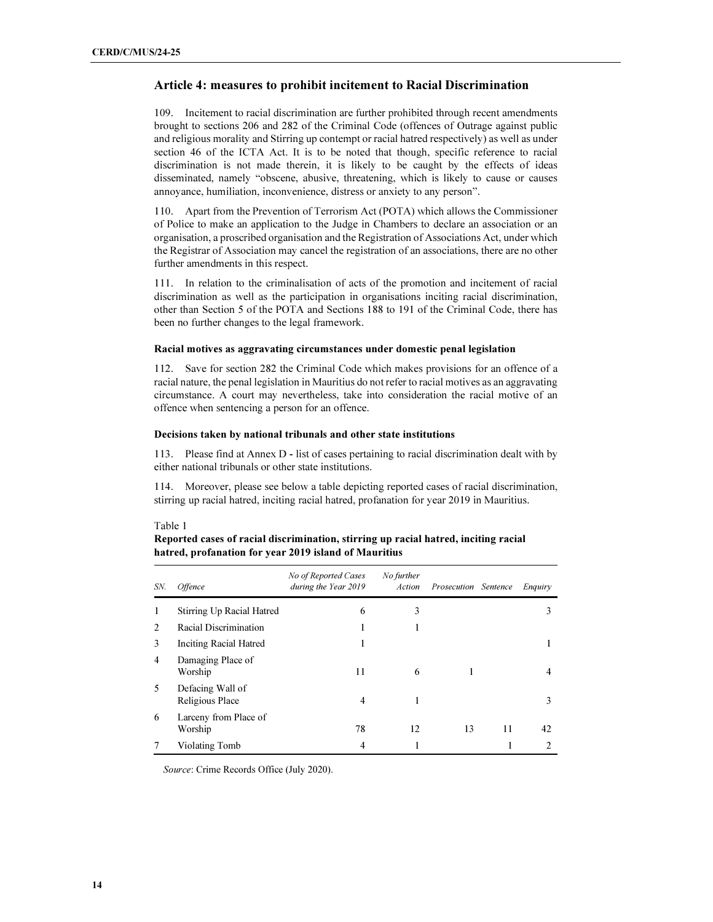# Article 4: measures to prohibit incitement to Racial Discrimination

109. Incitement to racial discrimination are further prohibited through recent amendments brought to sections 206 and 282 of the Criminal Code (offences of Outrage against public and religious morality and Stirring up contempt or racial hatred respectively) as well as under section 46 of the ICTA Act. It is to be noted that though, specific reference to racial discrimination is not made therein, it is likely to be caught by the effects of ideas disseminated, namely "obscene, abusive, threatening, which is likely to cause or causes annoyance, humiliation, inconvenience, distress or anxiety to any person".

110. Apart from the Prevention of Terrorism Act (POTA) which allows the Commissioner of Police to make an application to the Judge in Chambers to declare an association or an organisation, a proscribed organisation and the Registration of Associations Act, under which the Registrar of Association may cancel the registration of an associations, there are no other further amendments in this respect.

111. In relation to the criminalisation of acts of the promotion and incitement of racial discrimination as well as the participation in organisations inciting racial discrimination, other than Section 5 of the POTA and Sections 188 to 191 of the Criminal Code, there has been no further changes to the legal framework.

### Racial motives as aggravating circumstances under domestic penal legislation

112. Save for section 282 the Criminal Code which makes provisions for an offence of a racial nature, the penal legislation in Mauritius do not refer to racial motives as an aggravating circumstance. A court may nevertheless, take into consideration the racial motive of an offence when sentencing a person for an offence.

# Decisions taken by national tribunals and other state institutions

113. Please find at Annex D - list of cases pertaining to racial discrimination dealt with by either national tribunals or other state institutions.

114. Moreover, please see below a table depicting reported cases of racial discrimination, stirring up racial hatred, inciting racial hatred, profanation for year 2019 in Mauritius.

#### Table 1

Reported cases of racial discrimination, stirring up racial hatred, inciting racial hatred, profanation for year 2019 island of Mauritius

| SN.            | <i><b>Offence</b></i>               | No of Reported Cases<br>during the Year 2019 | No further<br>Action | Prosecution Sentence |    | Enquiry |
|----------------|-------------------------------------|----------------------------------------------|----------------------|----------------------|----|---------|
| 1              | Stirring Up Racial Hatred           | 6                                            | 3                    |                      |    | 3       |
| 2              | Racial Discrimination               |                                              |                      |                      |    |         |
| 3              | <b>Inciting Racial Hatred</b>       | ı                                            |                      |                      |    |         |
| $\overline{4}$ | Damaging Place of<br>Worship        | 11                                           | 6                    |                      |    | 4       |
| 5              | Defacing Wall of<br>Religious Place | $\overline{4}$                               |                      |                      |    | 3       |
| 6              | Larceny from Place of<br>Worship    | 78                                           | 12                   | 13                   | 11 | 42      |
|                | Violating Tomb                      | $\overline{4}$                               |                      |                      |    | 2       |

Source: Crime Records Office (July 2020).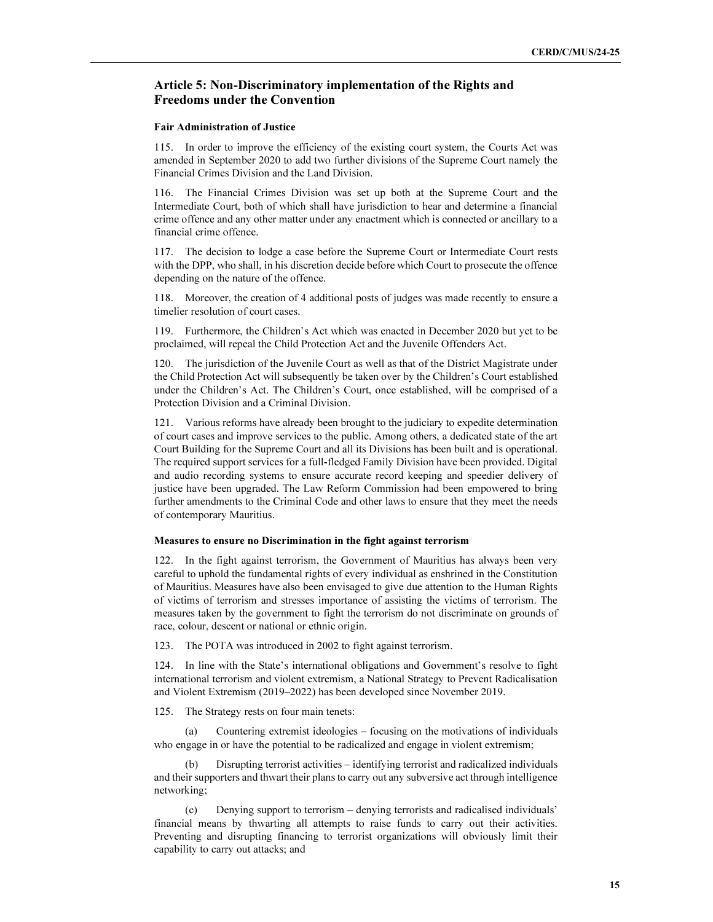# Article 5: Non-Discriminatory implementation of the Rights and Freedoms under the Convention

### Fair Administration of Justice

115. In order to improve the efficiency of the existing court system, the Courts Act was amended in September 2020 to add two further divisions of the Supreme Court namely the Financial Crimes Division and the Land Division.

116. The Financial Crimes Division was set up both at the Supreme Court and the Intermediate Court, both of which shall have jurisdiction to hear and determine a financial crime offence and any other matter under any enactment which is connected or ancillary to a financial crime offence.

117. The decision to lodge a case before the Supreme Court or Intermediate Court rests with the DPP, who shall, in his discretion decide before which Court to prosecute the offence depending on the nature of the offence.

118. Moreover, the creation of 4 additional posts of judges was made recently to ensure a timelier resolution of court cases.

119. Furthermore, the Children's Act which was enacted in December 2020 but yet to be proclaimed, will repeal the Child Protection Act and the Juvenile Offenders Act.

120. The jurisdiction of the Juvenile Court as well as that of the District Magistrate under the Child Protection Act will subsequently be taken over by the Children's Court established under the Children's Act. The Children's Court, once established, will be comprised of a Protection Division and a Criminal Division.

121. Various reforms have already been brought to the judiciary to expedite determination of court cases and improve services to the public. Among others, a dedicated state of the art Court Building for the Supreme Court and all its Divisions has been built and is operational. The required support services for a full-fledged Family Division have been provided. Digital and audio recording systems to ensure accurate record keeping and speedier delivery of justice have been upgraded. The Law Reform Commission had been empowered to bring further amendments to the Criminal Code and other laws to ensure that they meet the needs of contemporary Mauritius.

#### Measures to ensure no Discrimination in the fight against terrorism

122. In the fight against terrorism, the Government of Mauritius has always been very careful to uphold the fundamental rights of every individual as enshrined in the Constitution of Mauritius. Measures have also been envisaged to give due attention to the Human Rights of victims of terrorism and stresses importance of assisting the victims of terrorism. The measures taken by the government to fight the terrorism do not discriminate on grounds of race, colour, descent or national or ethnic origin.

123. The POTA was introduced in 2002 to fight against terrorism.

124. In line with the State's international obligations and Government's resolve to fight international terrorism and violent extremism, a National Strategy to Prevent Radicalisation and Violent Extremism (2019–2022) has been developed since November 2019.

125. The Strategy rests on four main tenets:

 (a) Countering extremist ideologies – focusing on the motivations of individuals who engage in or have the potential to be radicalized and engage in violent extremism;

 (b) Disrupting terrorist activities – identifying terrorist and radicalized individuals and their supporters and thwart their plans to carry out any subversive act through intelligence networking;

Denying support to terrorism – denying terrorists and radicalised individuals' financial means by thwarting all attempts to raise funds to carry out their activities. Preventing and disrupting financing to terrorist organizations will obviously limit their capability to carry out attacks; and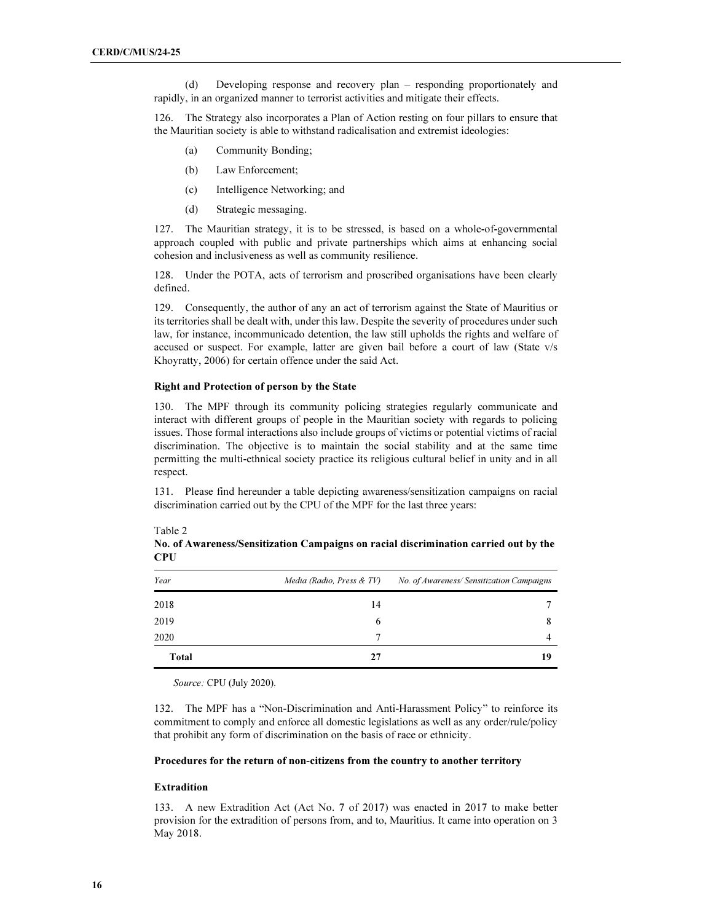(d) Developing response and recovery plan – responding proportionately and rapidly, in an organized manner to terrorist activities and mitigate their effects.

126. The Strategy also incorporates a Plan of Action resting on four pillars to ensure that the Mauritian society is able to withstand radicalisation and extremist ideologies:

- (a) Community Bonding;
- (b) Law Enforcement;
- (c) Intelligence Networking; and
- (d) Strategic messaging.

127. The Mauritian strategy, it is to be stressed, is based on a whole-of-governmental approach coupled with public and private partnerships which aims at enhancing social cohesion and inclusiveness as well as community resilience.

128. Under the POTA, acts of terrorism and proscribed organisations have been clearly defined.

129. Consequently, the author of any an act of terrorism against the State of Mauritius or its territories shall be dealt with, under this law. Despite the severity of procedures under such law, for instance, incommunicado detention, the law still upholds the rights and welfare of accused or suspect. For example, latter are given bail before a court of law (State v/s Khoyratty, 2006) for certain offence under the said Act.

#### Right and Protection of person by the State

130. The MPF through its community policing strategies regularly communicate and interact with different groups of people in the Mauritian society with regards to policing issues. Those formal interactions also include groups of victims or potential victims of racial discrimination. The objective is to maintain the social stability and at the same time permitting the multi-ethnical society practice its religious cultural belief in unity and in all respect.

131. Please find hereunder a table depicting awareness/sensitization campaigns on racial discrimination carried out by the CPU of the MPF for the last three years:

| Year  | Media (Radio, Press & TV) | No. of Awareness/Sensitization Campaigns |  |
|-------|---------------------------|------------------------------------------|--|
| 2018  | 14                        |                                          |  |
| 2019  | 6                         |                                          |  |
| 2020  |                           |                                          |  |
| Total | 27                        | 19                                       |  |

No. of Awareness/Sensitization Campaigns on racial discrimination carried out by the **CPU** 

Source: CPU (July 2020).

132. The MPF has a "Non-Discrimination and Anti-Harassment Policy" to reinforce its commitment to comply and enforce all domestic legislations as well as any order/rule/policy that prohibit any form of discrimination on the basis of race or ethnicity.

### Procedures for the return of non-citizens from the country to another territory

# Extradition

133. A new Extradition Act (Act No. 7 of 2017) was enacted in 2017 to make better provision for the extradition of persons from, and to, Mauritius. It came into operation on 3 May 2018.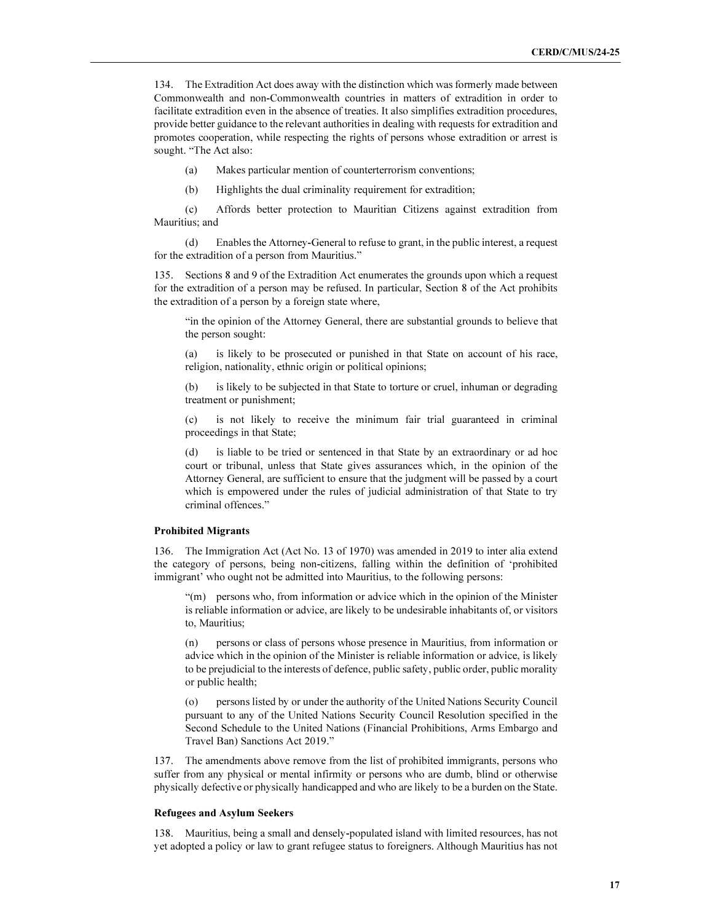134. The Extradition Act does away with the distinction which was formerly made between Commonwealth and non-Commonwealth countries in matters of extradition in order to facilitate extradition even in the absence of treaties. It also simplifies extradition procedures, provide better guidance to the relevant authorities in dealing with requests for extradition and promotes cooperation, while respecting the rights of persons whose extradition or arrest is sought. "The Act also:

- (a) Makes particular mention of counterterrorism conventions;
- (b) Highlights the dual criminality requirement for extradition;

 (c) Affords better protection to Mauritian Citizens against extradition from Mauritius; and

 (d) Enables the Attorney-General to refuse to grant, in the public interest, a request for the extradition of a person from Mauritius."

135. Sections 8 and 9 of the Extradition Act enumerates the grounds upon which a request for the extradition of a person may be refused. In particular, Section 8 of the Act prohibits the extradition of a person by a foreign state where,

"in the opinion of the Attorney General, there are substantial grounds to believe that the person sought:

(a) is likely to be prosecuted or punished in that State on account of his race, religion, nationality, ethnic origin or political opinions;

is likely to be subjected in that State to torture or cruel, inhuman or degrading treatment or punishment;

(c) is not likely to receive the minimum fair trial guaranteed in criminal proceedings in that State;

(d) is liable to be tried or sentenced in that State by an extraordinary or ad hoc court or tribunal, unless that State gives assurances which, in the opinion of the Attorney General, are sufficient to ensure that the judgment will be passed by a court which is empowered under the rules of judicial administration of that State to try criminal offences."

#### Prohibited Migrants

136. The Immigration Act (Act No. 13 of 1970) was amended in 2019 to inter alia extend the category of persons, being non-citizens, falling within the definition of 'prohibited immigrant' who ought not be admitted into Mauritius, to the following persons:

"(m) persons who, from information or advice which in the opinion of the Minister is reliable information or advice, are likely to be undesirable inhabitants of, or visitors to, Mauritius;

(n) persons or class of persons whose presence in Mauritius, from information or advice which in the opinion of the Minister is reliable information or advice, is likely to be prejudicial to the interests of defence, public safety, public order, public morality or public health;

(o) persons listed by or under the authority of the United Nations Security Council pursuant to any of the United Nations Security Council Resolution specified in the Second Schedule to the United Nations (Financial Prohibitions, Arms Embargo and Travel Ban) Sanctions Act 2019."

137. The amendments above remove from the list of prohibited immigrants, persons who suffer from any physical or mental infirmity or persons who are dumb, blind or otherwise physically defective or physically handicapped and who are likely to be a burden on the State.

#### Refugees and Asylum Seekers

138. Mauritius, being a small and densely-populated island with limited resources, has not yet adopted a policy or law to grant refugee status to foreigners. Although Mauritius has not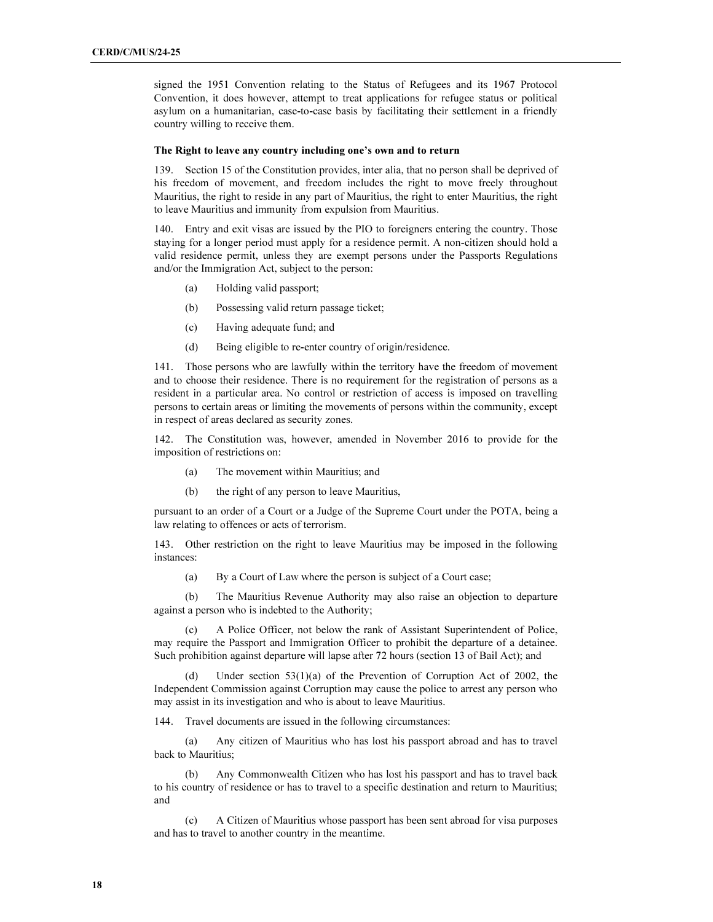signed the 1951 Convention relating to the Status of Refugees and its 1967 Protocol Convention, it does however, attempt to treat applications for refugee status or political asylum on a humanitarian, case-to-case basis by facilitating their settlement in a friendly country willing to receive them.

#### The Right to leave any country including one's own and to return

139. Section 15 of the Constitution provides, inter alia, that no person shall be deprived of his freedom of movement, and freedom includes the right to move freely throughout Mauritius, the right to reside in any part of Mauritius, the right to enter Mauritius, the right to leave Mauritius and immunity from expulsion from Mauritius.

140. Entry and exit visas are issued by the PIO to foreigners entering the country. Those staying for a longer period must apply for a residence permit. A non-citizen should hold a valid residence permit, unless they are exempt persons under the Passports Regulations and/or the Immigration Act, subject to the person:

- (a) Holding valid passport;
- (b) Possessing valid return passage ticket;
- (c) Having adequate fund; and
- (d) Being eligible to re-enter country of origin/residence.

141. Those persons who are lawfully within the territory have the freedom of movement and to choose their residence. There is no requirement for the registration of persons as a resident in a particular area. No control or restriction of access is imposed on travelling persons to certain areas or limiting the movements of persons within the community, except in respect of areas declared as security zones.

142. The Constitution was, however, amended in November 2016 to provide for the imposition of restrictions on:

- (a) The movement within Mauritius; and
- (b) the right of any person to leave Mauritius,

pursuant to an order of a Court or a Judge of the Supreme Court under the POTA, being a law relating to offences or acts of terrorism.

143. Other restriction on the right to leave Mauritius may be imposed in the following instances:

(a) By a Court of Law where the person is subject of a Court case;

 (b) The Mauritius Revenue Authority may also raise an objection to departure against a person who is indebted to the Authority;

A Police Officer, not below the rank of Assistant Superintendent of Police, may require the Passport and Immigration Officer to prohibit the departure of a detainee. Such prohibition against departure will lapse after 72 hours (section 13 of Bail Act); and

Under section  $53(1)(a)$  of the Prevention of Corruption Act of 2002, the Independent Commission against Corruption may cause the police to arrest any person who may assist in its investigation and who is about to leave Mauritius.

144. Travel documents are issued in the following circumstances:

 (a) Any citizen of Mauritius who has lost his passport abroad and has to travel back to Mauritius;

 (b) Any Commonwealth Citizen who has lost his passport and has to travel back to his country of residence or has to travel to a specific destination and return to Mauritius; and

 (c) A Citizen of Mauritius whose passport has been sent abroad for visa purposes and has to travel to another country in the meantime.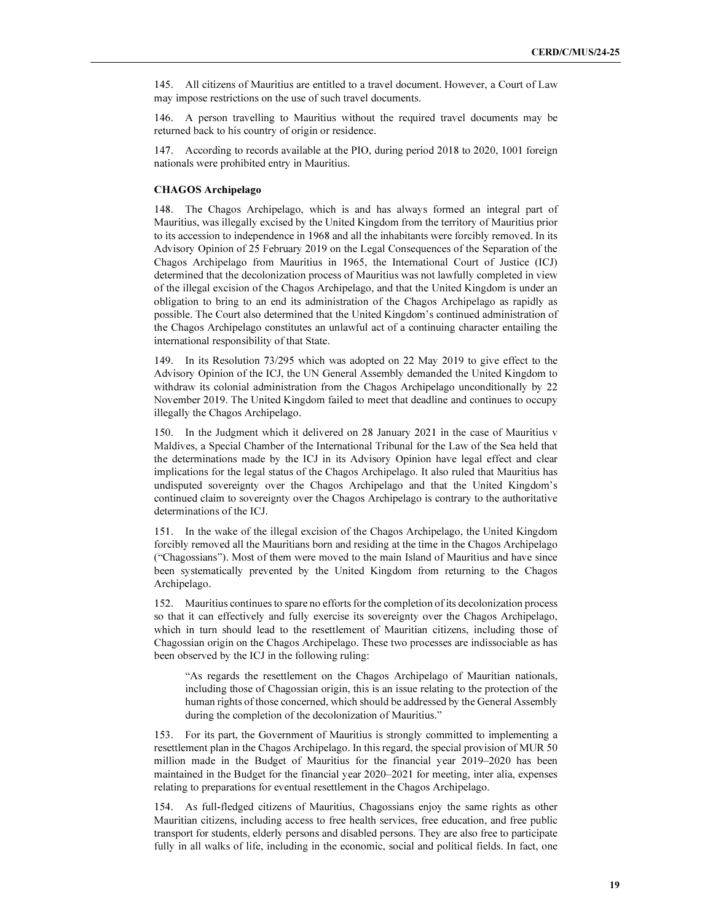145. All citizens of Mauritius are entitled to a travel document. However, a Court of Law may impose restrictions on the use of such travel documents.

146. A person travelling to Mauritius without the required travel documents may be returned back to his country of origin or residence.

147. According to records available at the PIO, during period 2018 to 2020, 1001 foreign nationals were prohibited entry in Mauritius.

#### CHAGOS Archipelago

148. The Chagos Archipelago, which is and has always formed an integral part of Mauritius, was illegally excised by the United Kingdom from the territory of Mauritius prior to its accession to independence in 1968 and all the inhabitants were forcibly removed. In its Advisory Opinion of 25 February 2019 on the Legal Consequences of the Separation of the Chagos Archipelago from Mauritius in 1965, the International Court of Justice (ICJ) determined that the decolonization process of Mauritius was not lawfully completed in view of the illegal excision of the Chagos Archipelago, and that the United Kingdom is under an obligation to bring to an end its administration of the Chagos Archipelago as rapidly as possible. The Court also determined that the United Kingdom's continued administration of the Chagos Archipelago constitutes an unlawful act of a continuing character entailing the international responsibility of that State.

149. In its Resolution 73/295 which was adopted on 22 May 2019 to give effect to the Advisory Opinion of the ICJ, the UN General Assembly demanded the United Kingdom to withdraw its colonial administration from the Chagos Archipelago unconditionally by 22 November 2019. The United Kingdom failed to meet that deadline and continues to occupy illegally the Chagos Archipelago.

150. In the Judgment which it delivered on 28 January 2021 in the case of Mauritius v Maldives, a Special Chamber of the International Tribunal for the Law of the Sea held that the determinations made by the ICJ in its Advisory Opinion have legal effect and clear implications for the legal status of the Chagos Archipelago. It also ruled that Mauritius has undisputed sovereignty over the Chagos Archipelago and that the United Kingdom's continued claim to sovereignty over the Chagos Archipelago is contrary to the authoritative determinations of the ICJ.

151. In the wake of the illegal excision of the Chagos Archipelago, the United Kingdom forcibly removed all the Mauritians born and residing at the time in the Chagos Archipelago ("Chagossians"). Most of them were moved to the main Island of Mauritius and have since been systematically prevented by the United Kingdom from returning to the Chagos Archipelago.

152. Mauritius continues to spare no efforts for the completion of its decolonization process so that it can effectively and fully exercise its sovereignty over the Chagos Archipelago, which in turn should lead to the resettlement of Mauritian citizens, including those of Chagossian origin on the Chagos Archipelago. These two processes are indissociable as has been observed by the ICJ in the following ruling:

"As regards the resettlement on the Chagos Archipelago of Mauritian nationals, including those of Chagossian origin, this is an issue relating to the protection of the human rights of those concerned, which should be addressed by the General Assembly during the completion of the decolonization of Mauritius."

153. For its part, the Government of Mauritius is strongly committed to implementing a resettlement plan in the Chagos Archipelago. In this regard, the special provision of MUR 50 million made in the Budget of Mauritius for the financial year 2019–2020 has been maintained in the Budget for the financial year 2020–2021 for meeting, inter alia, expenses relating to preparations for eventual resettlement in the Chagos Archipelago.

154. As full-fledged citizens of Mauritius, Chagossians enjoy the same rights as other Mauritian citizens, including access to free health services, free education, and free public transport for students, elderly persons and disabled persons. They are also free to participate fully in all walks of life, including in the economic, social and political fields. In fact, one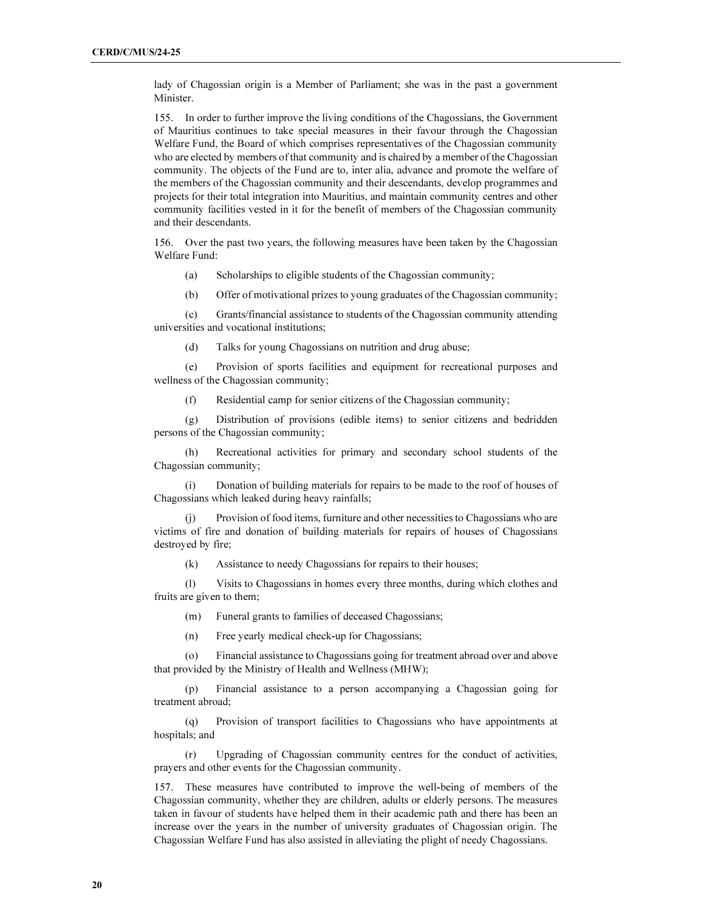lady of Chagossian origin is a Member of Parliament; she was in the past a government Minister.

155. In order to further improve the living conditions of the Chagossians, the Government of Mauritius continues to take special measures in their favour through the Chagossian Welfare Fund, the Board of which comprises representatives of the Chagossian community who are elected by members of that community and is chaired by a member of the Chagossian community. The objects of the Fund are to, inter alia, advance and promote the welfare of the members of the Chagossian community and their descendants, develop programmes and projects for their total integration into Mauritius, and maintain community centres and other community facilities vested in it for the benefit of members of the Chagossian community and their descendants.

156. Over the past two years, the following measures have been taken by the Chagossian Welfare Fund:

- (a) Scholarships to eligible students of the Chagossian community;
- (b) Offer of motivational prizes to young graduates of the Chagossian community;

 (c) Grants/financial assistance to students of the Chagossian community attending universities and vocational institutions;

(d) Talks for young Chagossians on nutrition and drug abuse;

 (e) Provision of sports facilities and equipment for recreational purposes and wellness of the Chagossian community;

(f) Residential camp for senior citizens of the Chagossian community;

 (g) Distribution of provisions (edible items) to senior citizens and bedridden persons of the Chagossian community;

 (h) Recreational activities for primary and secondary school students of the Chagossian community;

Donation of building materials for repairs to be made to the roof of houses of Chagossians which leaked during heavy rainfalls;

 (j) Provision of food items, furniture and other necessities to Chagossians who are victims of fire and donation of building materials for repairs of houses of Chagossians destroyed by fire;

(k) Assistance to needy Chagossians for repairs to their houses;

 (l) Visits to Chagossians in homes every three months, during which clothes and fruits are given to them;

- (m) Funeral grants to families of deceased Chagossians;
- (n) Free yearly medical check-up for Chagossians;

 (o) Financial assistance to Chagossians going for treatment abroad over and above that provided by the Ministry of Health and Wellness (MHW);

 (p) Financial assistance to a person accompanying a Chagossian going for treatment abroad;

 (q) Provision of transport facilities to Chagossians who have appointments at hospitals; and

 (r) Upgrading of Chagossian community centres for the conduct of activities, prayers and other events for the Chagossian community.

157. These measures have contributed to improve the well-being of members of the Chagossian community, whether they are children, adults or elderly persons. The measures taken in favour of students have helped them in their academic path and there has been an increase over the years in the number of university graduates of Chagossian origin. The Chagossian Welfare Fund has also assisted in alleviating the plight of needy Chagossians.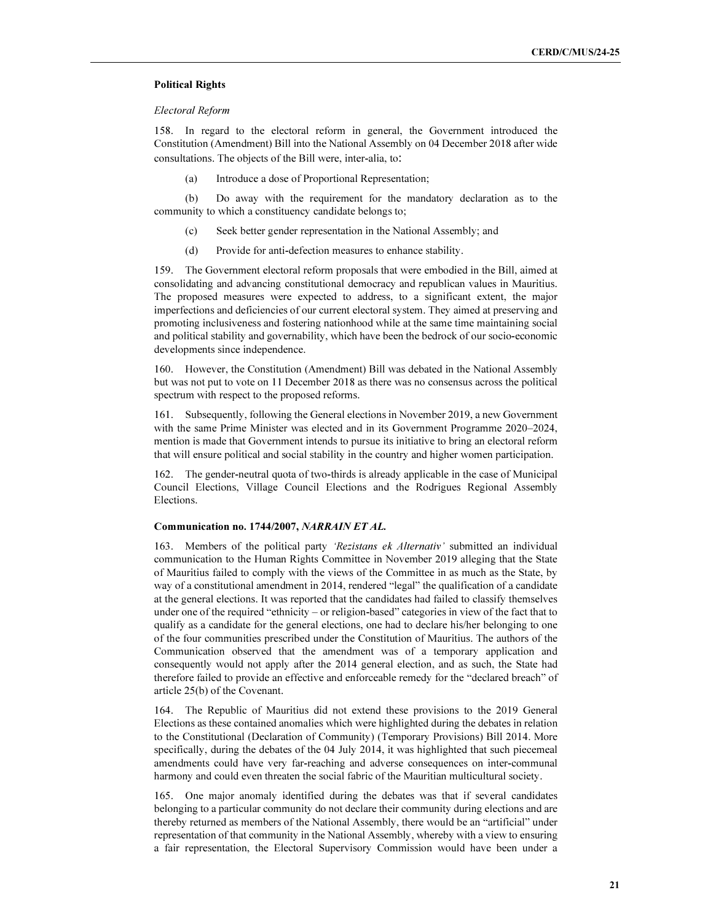### Political Rights

# Electoral Reform

158. In regard to the electoral reform in general, the Government introduced the Constitution (Amendment) Bill into the National Assembly on 04 December 2018 after wide consultations. The objects of the Bill were, inter-alia, to:

(a) Introduce a dose of Proportional Representation;

 (b) Do away with the requirement for the mandatory declaration as to the community to which a constituency candidate belongs to;

- (c) Seek better gender representation in the National Assembly; and
- (d) Provide for anti-defection measures to enhance stability.

159. The Government electoral reform proposals that were embodied in the Bill, aimed at consolidating and advancing constitutional democracy and republican values in Mauritius. The proposed measures were expected to address, to a significant extent, the major imperfections and deficiencies of our current electoral system. They aimed at preserving and promoting inclusiveness and fostering nationhood while at the same time maintaining social and political stability and governability, which have been the bedrock of our socio-economic developments since independence.

160. However, the Constitution (Amendment) Bill was debated in the National Assembly but was not put to vote on 11 December 2018 as there was no consensus across the political spectrum with respect to the proposed reforms.

161. Subsequently, following the General elections in November 2019, a new Government with the same Prime Minister was elected and in its Government Programme 2020–2024, mention is made that Government intends to pursue its initiative to bring an electoral reform that will ensure political and social stability in the country and higher women participation.

162. The gender-neutral quota of two-thirds is already applicable in the case of Municipal Council Elections, Village Council Elections and the Rodrigues Regional Assembly Elections.

# Communication no. 1744/2007, NARRAIN ET AL.

163. Members of the political party 'Rezistans ek Alternativ' submitted an individual communication to the Human Rights Committee in November 2019 alleging that the State of Mauritius failed to comply with the views of the Committee in as much as the State, by way of a constitutional amendment in 2014, rendered "legal" the qualification of a candidate at the general elections. It was reported that the candidates had failed to classify themselves under one of the required "ethnicity – or religion-based" categories in view of the fact that to qualify as a candidate for the general elections, one had to declare his/her belonging to one of the four communities prescribed under the Constitution of Mauritius. The authors of the Communication observed that the amendment was of a temporary application and consequently would not apply after the 2014 general election, and as such, the State had therefore failed to provide an effective and enforceable remedy for the "declared breach" of article 25(b) of the Covenant.

164. The Republic of Mauritius did not extend these provisions to the 2019 General Elections as these contained anomalies which were highlighted during the debates in relation to the Constitutional (Declaration of Community) (Temporary Provisions) Bill 2014. More specifically, during the debates of the 04 July 2014, it was highlighted that such piecemeal amendments could have very far-reaching and adverse consequences on inter-communal harmony and could even threaten the social fabric of the Mauritian multicultural society.

165. One major anomaly identified during the debates was that if several candidates belonging to a particular community do not declare their community during elections and are thereby returned as members of the National Assembly, there would be an "artificial" under representation of that community in the National Assembly, whereby with a view to ensuring a fair representation, the Electoral Supervisory Commission would have been under a

21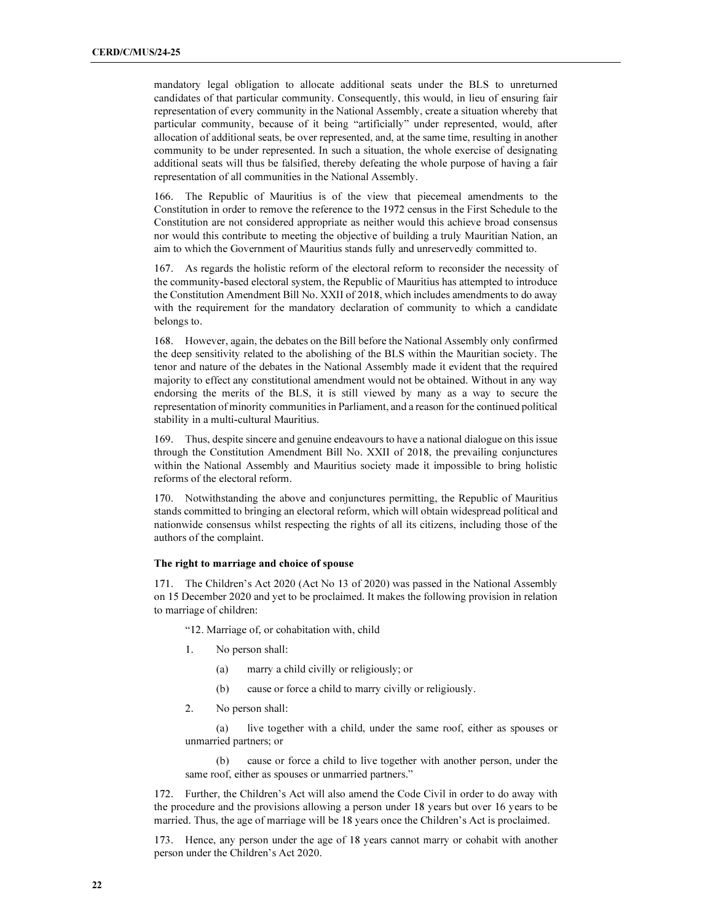mandatory legal obligation to allocate additional seats under the BLS to unreturned candidates of that particular community. Consequently, this would, in lieu of ensuring fair representation of every community in the National Assembly, create a situation whereby that particular community, because of it being "artificially" under represented, would, after allocation of additional seats, be over represented, and, at the same time, resulting in another community to be under represented. In such a situation, the whole exercise of designating additional seats will thus be falsified, thereby defeating the whole purpose of having a fair representation of all communities in the National Assembly.

166. The Republic of Mauritius is of the view that piecemeal amendments to the Constitution in order to remove the reference to the 1972 census in the First Schedule to the Constitution are not considered appropriate as neither would this achieve broad consensus nor would this contribute to meeting the objective of building a truly Mauritian Nation, an aim to which the Government of Mauritius stands fully and unreservedly committed to.

167. As regards the holistic reform of the electoral reform to reconsider the necessity of the community-based electoral system, the Republic of Mauritius has attempted to introduce the Constitution Amendment Bill No. XXII of 2018, which includes amendments to do away with the requirement for the mandatory declaration of community to which a candidate belongs to.

168. However, again, the debates on the Bill before the National Assembly only confirmed the deep sensitivity related to the abolishing of the BLS within the Mauritian society. The tenor and nature of the debates in the National Assembly made it evident that the required majority to effect any constitutional amendment would not be obtained. Without in any way endorsing the merits of the BLS, it is still viewed by many as a way to secure the representation of minority communities in Parliament, and a reason for the continued political stability in a multi-cultural Mauritius.

169. Thus, despite sincere and genuine endeavours to have a national dialogue on this issue through the Constitution Amendment Bill No. XXII of 2018, the prevailing conjunctures within the National Assembly and Mauritius society made it impossible to bring holistic reforms of the electoral reform.

170. Notwithstanding the above and conjunctures permitting, the Republic of Mauritius stands committed to bringing an electoral reform, which will obtain widespread political and nationwide consensus whilst respecting the rights of all its citizens, including those of the authors of the complaint.

#### The right to marriage and choice of spouse

171. The Children's Act 2020 (Act No 13 of 2020) was passed in the National Assembly on 15 December 2020 and yet to be proclaimed. It makes the following provision in relation to marriage of children:

"12. Marriage of, or cohabitation with, child

- 1. No person shall:
	- (a) marry a child civilly or religiously; or
	- (b) cause or force a child to marry civilly or religiously.
- 2. No person shall:

 (a) live together with a child, under the same roof, either as spouses or unmarried partners; or

 (b) cause or force a child to live together with another person, under the same roof, either as spouses or unmarried partners."

172. Further, the Children's Act will also amend the Code Civil in order to do away with the procedure and the provisions allowing a person under 18 years but over 16 years to be married. Thus, the age of marriage will be 18 years once the Children's Act is proclaimed.

173. Hence, any person under the age of 18 years cannot marry or cohabit with another person under the Children's Act 2020.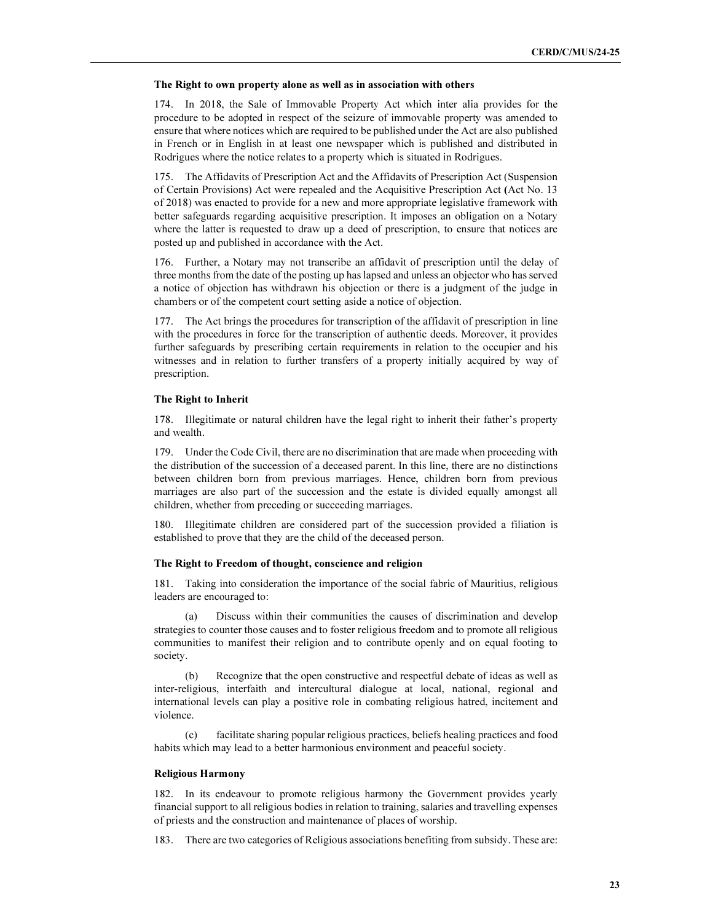#### The Right to own property alone as well as in association with others

174. In 2018, the Sale of Immovable Property Act which inter alia provides for the procedure to be adopted in respect of the seizure of immovable property was amended to ensure that where notices which are required to be published under the Act are also published in French or in English in at least one newspaper which is published and distributed in Rodrigues where the notice relates to a property which is situated in Rodrigues.

175. The Affidavits of Prescription Act and the Affidavits of Prescription Act (Suspension of Certain Provisions) Act were repealed and the Acquisitive Prescription Act (Act No. 13 of 2018) was enacted to provide for a new and more appropriate legislative framework with better safeguards regarding acquisitive prescription. It imposes an obligation on a Notary where the latter is requested to draw up a deed of prescription, to ensure that notices are posted up and published in accordance with the Act.

176. Further, a Notary may not transcribe an affidavit of prescription until the delay of three months from the date of the posting up has lapsed and unless an objector who has served a notice of objection has withdrawn his objection or there is a judgment of the judge in chambers or of the competent court setting aside a notice of objection.

177. The Act brings the procedures for transcription of the affidavit of prescription in line with the procedures in force for the transcription of authentic deeds. Moreover, it provides further safeguards by prescribing certain requirements in relation to the occupier and his witnesses and in relation to further transfers of a property initially acquired by way of prescription.

#### The Right to Inherit

178. Illegitimate or natural children have the legal right to inherit their father's property and wealth.

179. Under the Code Civil, there are no discrimination that are made when proceeding with the distribution of the succession of a deceased parent. In this line, there are no distinctions between children born from previous marriages. Hence, children born from previous marriages are also part of the succession and the estate is divided equally amongst all children, whether from preceding or succeeding marriages.

180. Illegitimate children are considered part of the succession provided a filiation is established to prove that they are the child of the deceased person.

#### The Right to Freedom of thought, conscience and religion

181. Taking into consideration the importance of the social fabric of Mauritius, religious leaders are encouraged to:

 (a) Discuss within their communities the causes of discrimination and develop strategies to counter those causes and to foster religious freedom and to promote all religious communities to manifest their religion and to contribute openly and on equal footing to society.

 (b) Recognize that the open constructive and respectful debate of ideas as well as inter-religious, interfaith and intercultural dialogue at local, national, regional and international levels can play a positive role in combating religious hatred, incitement and violence.

facilitate sharing popular religious practices, beliefs healing practices and food habits which may lead to a better harmonious environment and peaceful society.

#### Religious Harmony

182. In its endeavour to promote religious harmony the Government provides yearly financial support to all religious bodies in relation to training, salaries and travelling expenses of priests and the construction and maintenance of places of worship.

183. There are two categories of Religious associations benefiting from subsidy. These are: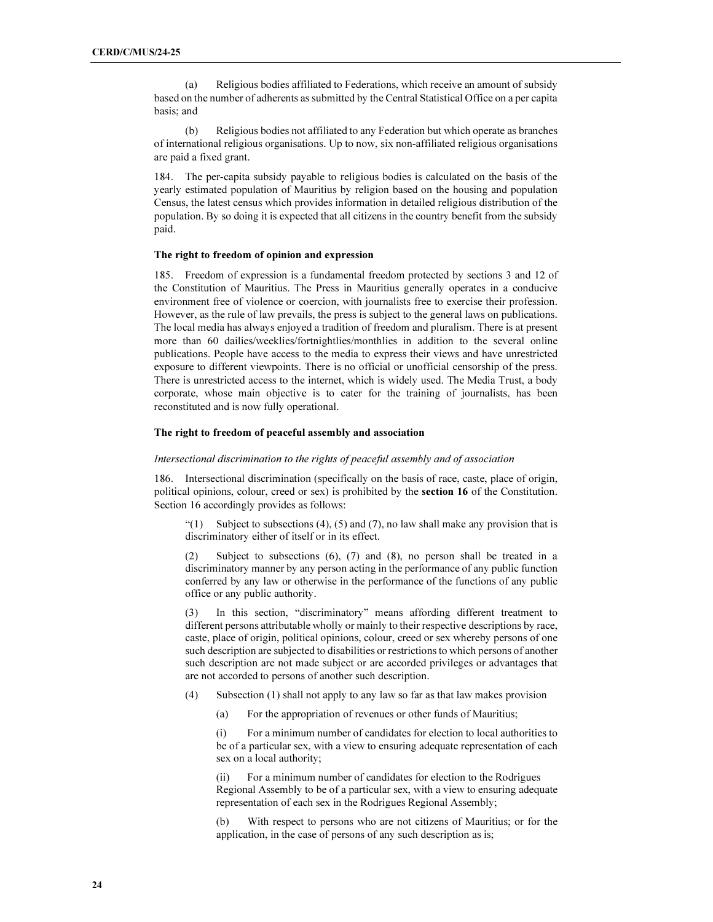(a) Religious bodies affiliated to Federations, which receive an amount of subsidy based on the number of adherents as submitted by the Central Statistical Office on a per capita basis; and

 (b) Religious bodies not affiliated to any Federation but which operate as branches of international religious organisations. Up to now, six non-affiliated religious organisations are paid a fixed grant.

184. The per-capita subsidy payable to religious bodies is calculated on the basis of the yearly estimated population of Mauritius by religion based on the housing and population Census, the latest census which provides information in detailed religious distribution of the population. By so doing it is expected that all citizens in the country benefit from the subsidy paid.

# The right to freedom of opinion and expression

185. Freedom of expression is a fundamental freedom protected by sections 3 and 12 of the Constitution of Mauritius. The Press in Mauritius generally operates in a conducive environment free of violence or coercion, with journalists free to exercise their profession. However, as the rule of law prevails, the press is subject to the general laws on publications. The local media has always enjoyed a tradition of freedom and pluralism. There is at present more than 60 dailies/weeklies/fortnightlies/monthlies in addition to the several online publications. People have access to the media to express their views and have unrestricted exposure to different viewpoints. There is no official or unofficial censorship of the press. There is unrestricted access to the internet, which is widely used. The Media Trust, a body corporate, whose main objective is to cater for the training of journalists, has been reconstituted and is now fully operational.

#### The right to freedom of peaceful assembly and association

#### Intersectional discrimination to the rights of peaceful assembly and of association

186. Intersectional discrimination (specifically on the basis of race, caste, place of origin, political opinions, colour, creed or sex) is prohibited by the **section 16** of the Constitution. Section 16 accordingly provides as follows:

" $(1)$  Subject to subsections  $(4)$ ,  $(5)$  and  $(7)$ , no law shall make any provision that is discriminatory either of itself or in its effect.

(2) Subject to subsections (6), (7) and (8), no person shall be treated in a discriminatory manner by any person acting in the performance of any public function conferred by any law or otherwise in the performance of the functions of any public office or any public authority.

(3) In this section, "discriminatory" means affording different treatment to different persons attributable wholly or mainly to their respective descriptions by race, caste, place of origin, political opinions, colour, creed or sex whereby persons of one such description are subjected to disabilities or restrictions to which persons of another such description are not made subject or are accorded privileges or advantages that are not accorded to persons of another such description.

- (4) Subsection (1) shall not apply to any law so far as that law makes provision
	- (a) For the appropriation of revenues or other funds of Mauritius;

(i) For a minimum number of candidates for election to local authorities to be of a particular sex, with a view to ensuring adequate representation of each sex on a local authority;

(ii) For a minimum number of candidates for election to the Rodrigues Regional Assembly to be of a particular sex, with a view to ensuring adequate representation of each sex in the Rodrigues Regional Assembly;

(b) With respect to persons who are not citizens of Mauritius; or for the application, in the case of persons of any such description as is;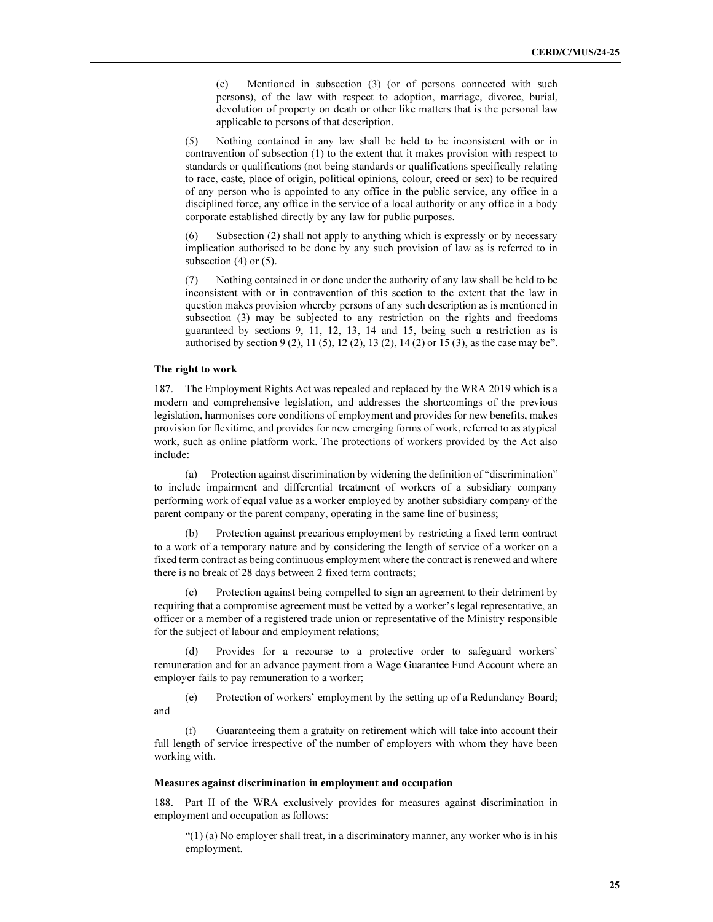(c) Mentioned in subsection (3) (or of persons connected with such persons), of the law with respect to adoption, marriage, divorce, burial, devolution of property on death or other like matters that is the personal law applicable to persons of that description.

(5) Nothing contained in any law shall be held to be inconsistent with or in contravention of subsection (1) to the extent that it makes provision with respect to standards or qualifications (not being standards or qualifications specifically relating to race, caste, place of origin, political opinions, colour, creed or sex) to be required of any person who is appointed to any office in the public service, any office in a disciplined force, any office in the service of a local authority or any office in a body corporate established directly by any law for public purposes.

Subsection (2) shall not apply to anything which is expressly or by necessary implication authorised to be done by any such provision of law as is referred to in subsection  $(4)$  or  $(5)$ .

(7) Nothing contained in or done under the authority of any law shall be held to be inconsistent with or in contravention of this section to the extent that the law in question makes provision whereby persons of any such description as is mentioned in subsection (3) may be subjected to any restriction on the rights and freedoms guaranteed by sections 9, 11, 12, 13, 14 and 15, being such a restriction as is authorised by section 9 (2), 11 (5), 12 (2), 13 (2), 14 (2) or 15 (3), as the case may be".

#### The right to work

187. The Employment Rights Act was repealed and replaced by the WRA 2019 which is a modern and comprehensive legislation, and addresses the shortcomings of the previous legislation, harmonises core conditions of employment and provides for new benefits, makes provision for flexitime, and provides for new emerging forms of work, referred to as atypical work, such as online platform work. The protections of workers provided by the Act also include:

 (a) Protection against discrimination by widening the definition of "discrimination" to include impairment and differential treatment of workers of a subsidiary company performing work of equal value as a worker employed by another subsidiary company of the parent company or the parent company, operating in the same line of business;

 (b) Protection against precarious employment by restricting a fixed term contract to a work of a temporary nature and by considering the length of service of a worker on a fixed term contract as being continuous employment where the contract is renewed and where there is no break of 28 days between 2 fixed term contracts;

 (c) Protection against being compelled to sign an agreement to their detriment by requiring that a compromise agreement must be vetted by a worker's legal representative, an officer or a member of a registered trade union or representative of the Ministry responsible for the subject of labour and employment relations;

 (d) Provides for a recourse to a protective order to safeguard workers' remuneration and for an advance payment from a Wage Guarantee Fund Account where an employer fails to pay remuneration to a worker;

 (e) Protection of workers' employment by the setting up of a Redundancy Board; and

 (f) Guaranteeing them a gratuity on retirement which will take into account their full length of service irrespective of the number of employers with whom they have been working with.

#### Measures against discrimination in employment and occupation

188. Part II of the WRA exclusively provides for measures against discrimination in employment and occupation as follows:

 $(1)$  (a) No employer shall treat, in a discriminatory manner, any worker who is in his employment.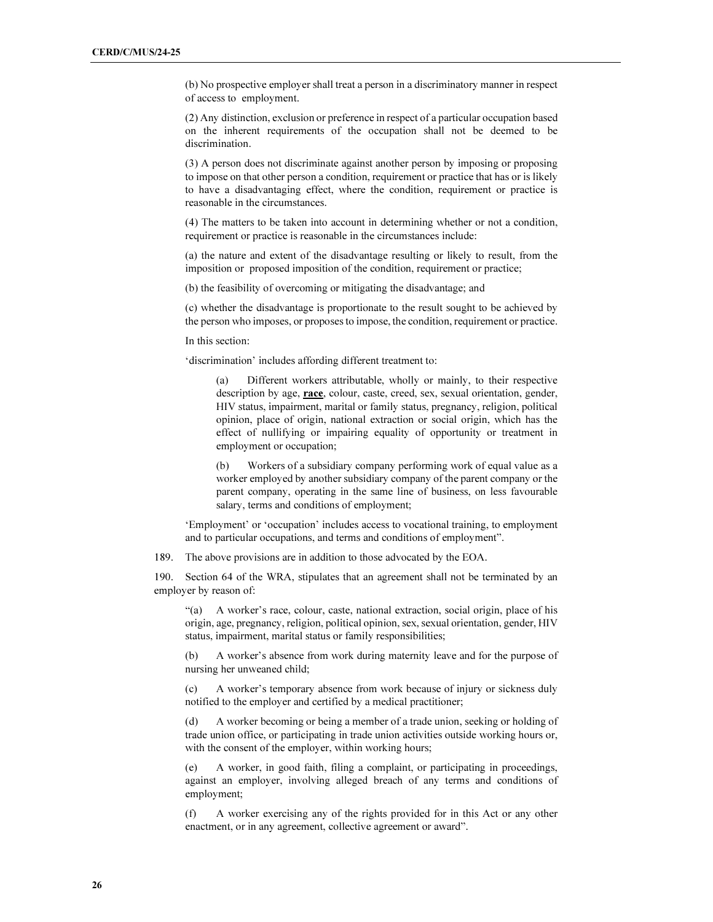(b) No prospective employer shall treat a person in a discriminatory manner in respect of access to employment.

(2) Any distinction, exclusion or preference in respect of a particular occupation based on the inherent requirements of the occupation shall not be deemed to be discrimination.

(3) A person does not discriminate against another person by imposing or proposing to impose on that other person a condition, requirement or practice that has or is likely to have a disadvantaging effect, where the condition, requirement or practice is reasonable in the circumstances.

(4) The matters to be taken into account in determining whether or not a condition, requirement or practice is reasonable in the circumstances include:

(a) the nature and extent of the disadvantage resulting or likely to result, from the imposition or proposed imposition of the condition, requirement or practice;

(b) the feasibility of overcoming or mitigating the disadvantage; and

(c) whether the disadvantage is proportionate to the result sought to be achieved by the person who imposes, or proposes to impose, the condition, requirement or practice.

In this section:

'discrimination' includes affording different treatment to:

Different workers attributable, wholly or mainly, to their respective description by age, race, colour, caste, creed, sex, sexual orientation, gender, HIV status, impairment, marital or family status, pregnancy, religion, political opinion, place of origin, national extraction or social origin, which has the effect of nullifying or impairing equality of opportunity or treatment in employment or occupation;

(b) Workers of a subsidiary company performing work of equal value as a worker employed by another subsidiary company of the parent company or the parent company, operating in the same line of business, on less favourable salary, terms and conditions of employment;

'Employment' or 'occupation' includes access to vocational training, to employment and to particular occupations, and terms and conditions of employment".

189. The above provisions are in addition to those advocated by the EOA.

190. Section 64 of the WRA, stipulates that an agreement shall not be terminated by an employer by reason of:

"(a) A worker's race, colour, caste, national extraction, social origin, place of his origin, age, pregnancy, religion, political opinion, sex, sexual orientation, gender, HIV status, impairment, marital status or family responsibilities;

(b) A worker's absence from work during maternity leave and for the purpose of nursing her unweaned child;

(c) A worker's temporary absence from work because of injury or sickness duly notified to the employer and certified by a medical practitioner;

(d) A worker becoming or being a member of a trade union, seeking or holding of trade union office, or participating in trade union activities outside working hours or, with the consent of the employer, within working hours;

(e) A worker, in good faith, filing a complaint, or participating in proceedings, against an employer, involving alleged breach of any terms and conditions of employment;

(f) A worker exercising any of the rights provided for in this Act or any other enactment, or in any agreement, collective agreement or award".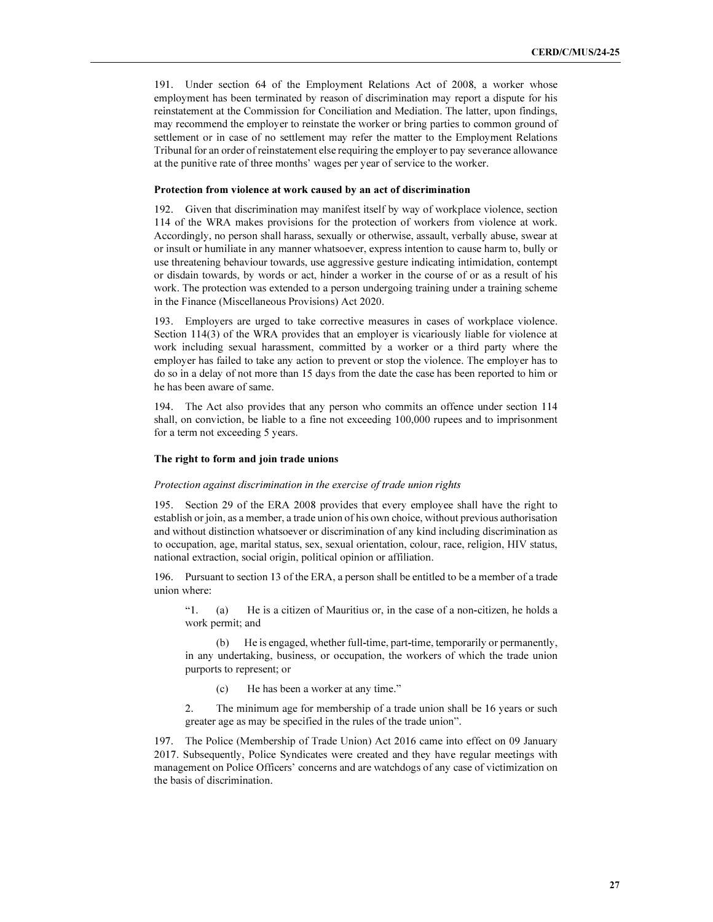191. Under section 64 of the Employment Relations Act of 2008, a worker whose employment has been terminated by reason of discrimination may report a dispute for his reinstatement at the Commission for Conciliation and Mediation. The latter, upon findings, may recommend the employer to reinstate the worker or bring parties to common ground of settlement or in case of no settlement may refer the matter to the Employment Relations Tribunal for an order of reinstatement else requiring the employer to pay severance allowance at the punitive rate of three months' wages per year of service to the worker.

#### Protection from violence at work caused by an act of discrimination

192. Given that discrimination may manifest itself by way of workplace violence, section 114 of the WRA makes provisions for the protection of workers from violence at work. Accordingly, no person shall harass, sexually or otherwise, assault, verbally abuse, swear at or insult or humiliate in any manner whatsoever, express intention to cause harm to, bully or use threatening behaviour towards, use aggressive gesture indicating intimidation, contempt or disdain towards, by words or act, hinder a worker in the course of or as a result of his work. The protection was extended to a person undergoing training under a training scheme in the Finance (Miscellaneous Provisions) Act 2020.

193. Employers are urged to take corrective measures in cases of workplace violence. Section 114(3) of the WRA provides that an employer is vicariously liable for violence at work including sexual harassment, committed by a worker or a third party where the employer has failed to take any action to prevent or stop the violence. The employer has to do so in a delay of not more than 15 days from the date the case has been reported to him or he has been aware of same.

194. The Act also provides that any person who commits an offence under section 114 shall, on conviction, be liable to a fine not exceeding 100,000 rupees and to imprisonment for a term not exceeding 5 years.

### The right to form and join trade unions

#### Protection against discrimination in the exercise of trade union rights

195. Section 29 of the ERA 2008 provides that every employee shall have the right to establish or join, as a member, a trade union of his own choice, without previous authorisation and without distinction whatsoever or discrimination of any kind including discrimination as to occupation, age, marital status, sex, sexual orientation, colour, race, religion, HIV status, national extraction, social origin, political opinion or affiliation.

196. Pursuant to section 13 of the ERA, a person shall be entitled to be a member of a trade union where:

"1. (a) He is a citizen of Mauritius or, in the case of a non-citizen, he holds a work permit; and

 (b) He is engaged, whether full-time, part-time, temporarily or permanently, in any undertaking, business, or occupation, the workers of which the trade union purports to represent; or

(c) He has been a worker at any time."

2. The minimum age for membership of a trade union shall be 16 years or such greater age as may be specified in the rules of the trade union".

197. The Police (Membership of Trade Union) Act 2016 came into effect on 09 January 2017. Subsequently, Police Syndicates were created and they have regular meetings with management on Police Officers' concerns and are watchdogs of any case of victimization on the basis of discrimination.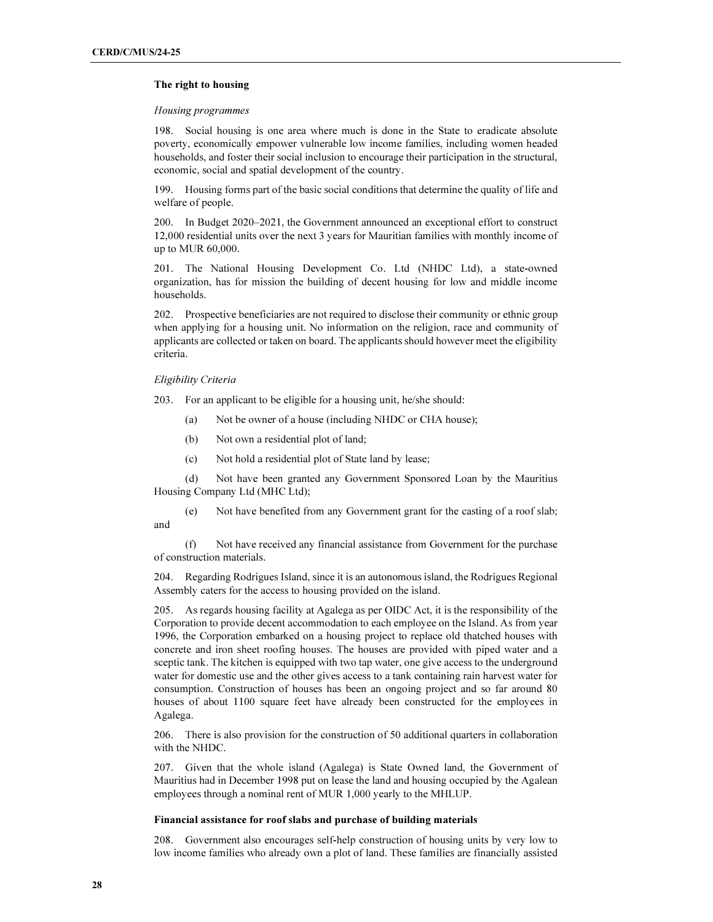### The right to housing

#### Housing programmes

198. Social housing is one area where much is done in the State to eradicate absolute poverty, economically empower vulnerable low income families, including women headed households, and foster their social inclusion to encourage their participation in the structural, economic, social and spatial development of the country.

199. Housing forms part of the basic social conditions that determine the quality of life and welfare of people.

200. In Budget 2020–2021, the Government announced an exceptional effort to construct 12,000 residential units over the next 3 years for Mauritian families with monthly income of up to MUR 60,000.

201. The National Housing Development Co. Ltd (NHDC Ltd), a state-owned organization, has for mission the building of decent housing for low and middle income households.

202. Prospective beneficiaries are not required to disclose their community or ethnic group when applying for a housing unit. No information on the religion, race and community of applicants are collected or taken on board. The applicants should however meet the eligibility criteria.

#### Eligibility Criteria

203. For an applicant to be eligible for a housing unit, he/she should:

- (a) Not be owner of a house (including NHDC or CHA house);
- (b) Not own a residential plot of land;
- (c) Not hold a residential plot of State land by lease;

 (d) Not have been granted any Government Sponsored Loan by the Mauritius Housing Company Ltd (MHC Ltd);

 (e) Not have benefited from any Government grant for the casting of a roof slab; and

 (f) Not have received any financial assistance from Government for the purchase of construction materials.

204. Regarding Rodrigues Island, since it is an autonomous island, the Rodrigues Regional Assembly caters for the access to housing provided on the island.

205. As regards housing facility at Agalega as per OIDC Act, it is the responsibility of the Corporation to provide decent accommodation to each employee on the Island. As from year 1996, the Corporation embarked on a housing project to replace old thatched houses with concrete and iron sheet roofing houses. The houses are provided with piped water and a sceptic tank. The kitchen is equipped with two tap water, one give access to the underground water for domestic use and the other gives access to a tank containing rain harvest water for consumption. Construction of houses has been an ongoing project and so far around 80 houses of about 1100 square feet have already been constructed for the employees in Agalega.

206. There is also provision for the construction of 50 additional quarters in collaboration with the NHDC.

207. Given that the whole island (Agalega) is State Owned land, the Government of Mauritius had in December 1998 put on lease the land and housing occupied by the Agalean employees through a nominal rent of MUR 1,000 yearly to the MHLUP.

#### Financial assistance for roof slabs and purchase of building materials

208. Government also encourages self-help construction of housing units by very low to low income families who already own a plot of land. These families are financially assisted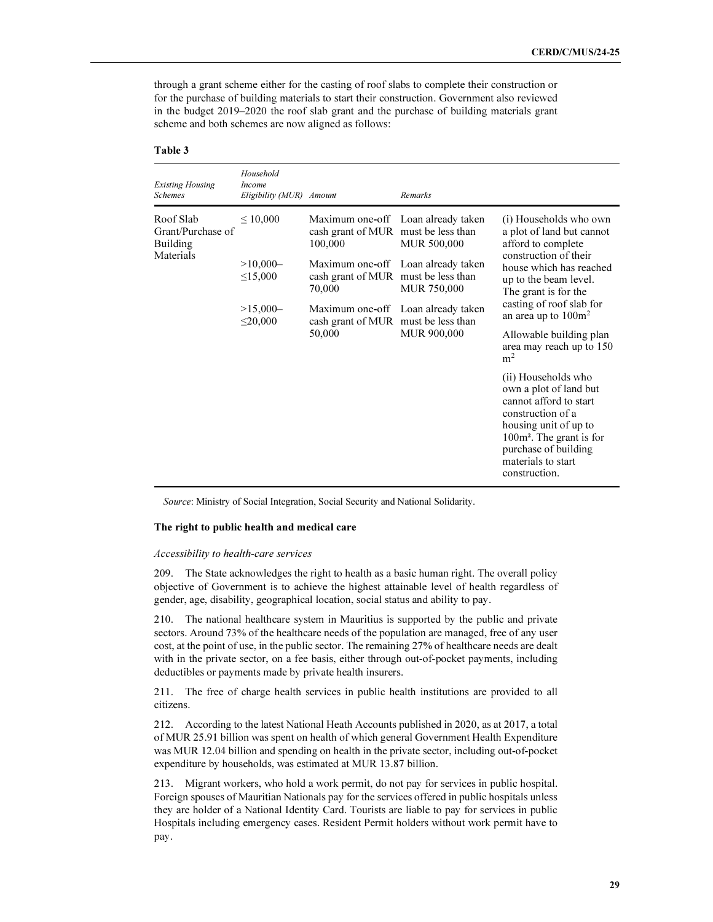through a grant scheme either for the casting of roof slabs to complete their construction or for the purchase of building materials to start their construction. Government also reviewed in the budget 2019–2020 the roof slab grant and the purchase of building materials grant scheme and both schemes are now aligned as follows:

#### Table 3

| <b>Existing Housing</b><br><b>Schemes</b>                      | Household<br><b>Income</b><br>Eligibility (MUR) Amount                      |                                                                                                                                                                       | Remarks                                                                                                                                               |                                                                                                                                                                                                                                                                                             |  |
|----------------------------------------------------------------|-----------------------------------------------------------------------------|-----------------------------------------------------------------------------------------------------------------------------------------------------------------------|-------------------------------------------------------------------------------------------------------------------------------------------------------|---------------------------------------------------------------------------------------------------------------------------------------------------------------------------------------------------------------------------------------------------------------------------------------------|--|
| Roof Slab<br>Grant/Purchase of<br><b>Building</b><br>Materials | $\leq 10,000$<br>$>10,000-$<br>$\leq 15,000$<br>$>15,000-$<br>$\leq 20,000$ | Maximum one-off<br>cash grant of MUR must be less than<br>100,000<br>Maximum one-off<br>cash grant of MUR<br>70,000<br>Maximum one-off<br>cash grant of MUR<br>50,000 | Loan already taken<br>MUR 500,000<br>Loan already taken<br>must be less than<br>MUR 750,000<br>Loan already taken<br>must be less than<br>MUR 900,000 | (i) Households who own<br>a plot of land but cannot<br>afford to complete<br>construction of their<br>house which has reached<br>up to the beam level.<br>The grant is for the<br>casting of roof slab for<br>an area up to $100m^2$<br>Allowable building plan<br>area may reach up to 150 |  |
|                                                                |                                                                             |                                                                                                                                                                       |                                                                                                                                                       | m <sup>2</sup><br>(ii) Households who<br>own a plot of land but<br>cannot afford to start<br>construction of a<br>housing unit of up to<br>100m <sup>2</sup> . The grant is for<br>purchase of building<br>materials to start<br>construction.                                              |  |

Source: Ministry of Social Integration, Social Security and National Solidarity.

#### The right to public health and medical care

#### Accessibility to health-care services

209. The State acknowledges the right to health as a basic human right. The overall policy objective of Government is to achieve the highest attainable level of health regardless of gender, age, disability, geographical location, social status and ability to pay.

210. The national healthcare system in Mauritius is supported by the public and private sectors. Around 73% of the healthcare needs of the population are managed, free of any user cost, at the point of use, in the public sector. The remaining 27% of healthcare needs are dealt with in the private sector, on a fee basis, either through out-of-pocket payments, including deductibles or payments made by private health insurers.

211. The free of charge health services in public health institutions are provided to all citizens.

212. According to the latest National Heath Accounts published in 2020, as at 2017, a total of MUR 25.91 billion was spent on health of which general Government Health Expenditure was MUR 12.04 billion and spending on health in the private sector, including out-of-pocket expenditure by households, was estimated at MUR 13.87 billion.

213. Migrant workers, who hold a work permit, do not pay for services in public hospital. Foreign spouses of Mauritian Nationals pay for the services offered in public hospitals unless they are holder of a National Identity Card. Tourists are liable to pay for services in public Hospitals including emergency cases. Resident Permit holders without work permit have to pay.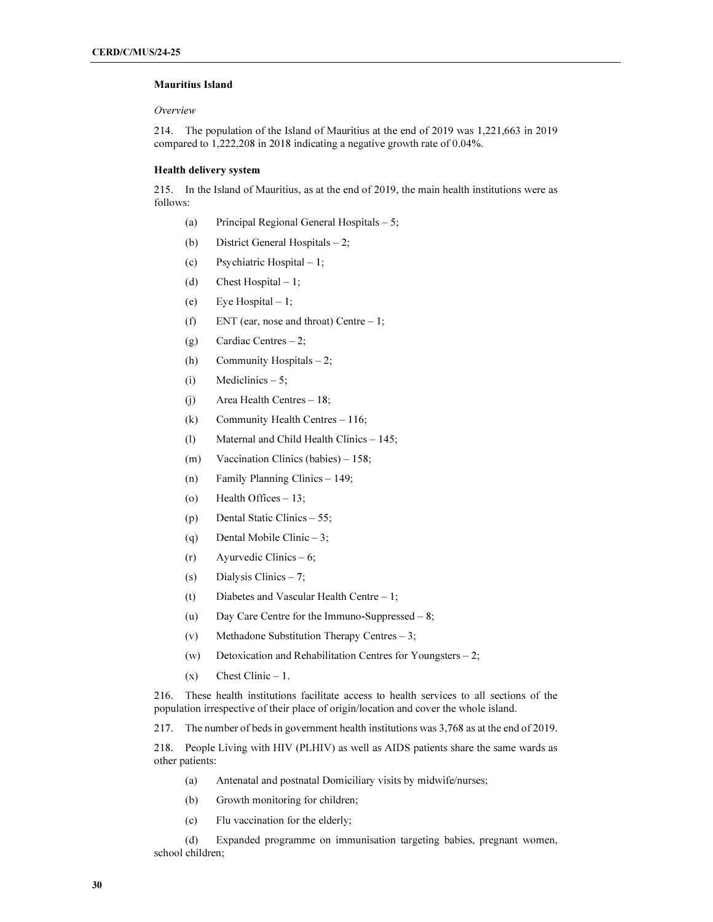# Mauritius Island

### Overview

214. The population of the Island of Mauritius at the end of 2019 was 1,221,663 in 2019 compared to 1,222,208 in 2018 indicating a negative growth rate of 0.04%.

# Health delivery system

215. In the Island of Mauritius, as at the end of 2019, the main health institutions were as follows:

- (a) Principal Regional General Hospitals 5;
- (b) District General Hospitals 2;
- (c) Psychiatric Hospital 1;
- (d) Chest Hospital  $-1$ ;
- (e) Eye Hospital  $-1$ ;
- (f) ENT (ear, nose and throat) Centre  $-1$ ;
- (g) Cardiac Centres  $-2$ ;
- (h) Community Hospitals 2;
- (i) Mediclinics  $-5$ ;
- (j) Area Health Centres 18;
- (k) Community Health Centres 116;
- (l) Maternal and Child Health Clinics 145;
- (m) Vaccination Clinics (babies) 158;
- (n) Family Planning Clinics 149;
- (o) Health Offices 13;
- (p) Dental Static Clinics 55;
- (q) Dental Mobile Clinic 3;
- $(r)$  Ayurvedic Clinics 6;
- (s) Dialysis Clinics  $-7$ ;
- (t) Diabetes and Vascular Health Centre 1;
- (u) Day Care Centre for the Immuno-Suppressed 8;
- (v) Methadone Substitution Therapy Centres 3;
- (w) Detoxication and Rehabilitation Centres for Youngsters 2;
- $(x)$  Chest Clinic 1.

216. These health institutions facilitate access to health services to all sections of the population irrespective of their place of origin/location and cover the whole island.

217. The number of beds in government health institutions was 3,768 as at the end of 2019.

218. People Living with HIV (PLHIV) as well as AIDS patients share the same wards as other patients:

- (a) Antenatal and postnatal Domiciliary visits by midwife/nurses;
- (b) Growth monitoring for children;
- (c) Flu vaccination for the elderly;

 (d) Expanded programme on immunisation targeting babies, pregnant women, school children;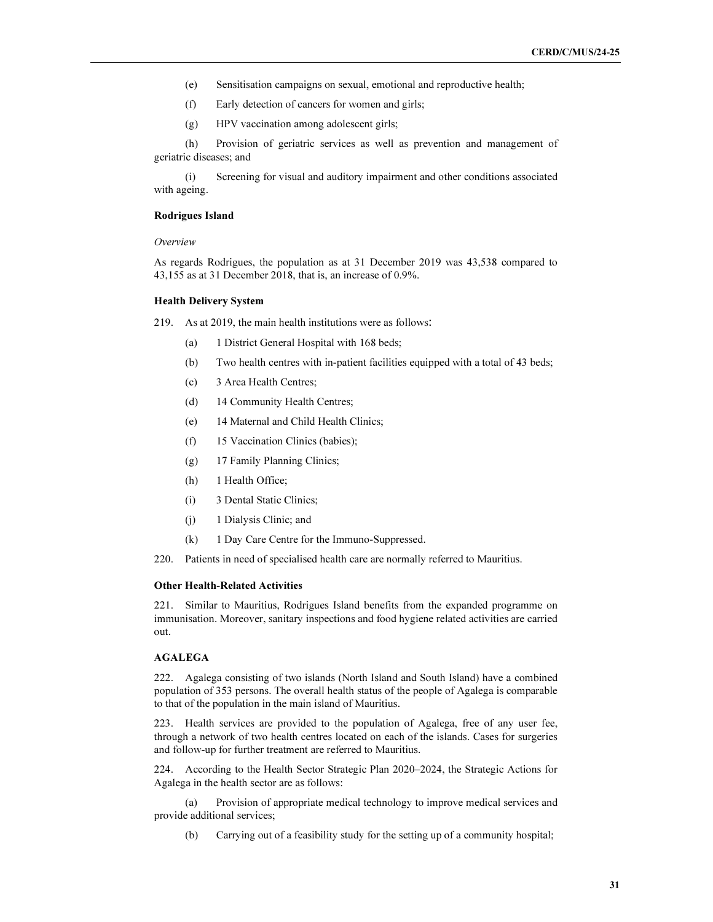- (e) Sensitisation campaigns on sexual, emotional and reproductive health;
- (f) Early detection of cancers for women and girls;
- (g) HPV vaccination among adolescent girls;

 (h) Provision of geriatric services as well as prevention and management of geriatric diseases; and

 (i) Screening for visual and auditory impairment and other conditions associated with ageing.

#### Rodrigues Island

#### Overview

As regards Rodrigues, the population as at 31 December 2019 was 43,538 compared to 43,155 as at 31 December 2018, that is, an increase of 0.9%.

### Health Delivery System

- 219. As at 2019, the main health institutions were as follows:
	- (a) 1 District General Hospital with 168 beds;
	- (b) Two health centres with in-patient facilities equipped with a total of 43 beds;
	- (c) 3 Area Health Centres;
	- (d) 14 Community Health Centres;
	- (e) 14 Maternal and Child Health Clinics;
	- (f) 15 Vaccination Clinics (babies);
	- (g) 17 Family Planning Clinics;
	- (h) 1 Health Office;
	- (i) 3 Dental Static Clinics;
	- (j) 1 Dialysis Clinic; and
	- (k) 1 Day Care Centre for the Immuno-Suppressed.

220. Patients in need of specialised health care are normally referred to Mauritius.

#### Other Health-Related Activities

221. Similar to Mauritius, Rodrigues Island benefits from the expanded programme on immunisation. Moreover, sanitary inspections and food hygiene related activities are carried out.

#### AGALEGA

222. Agalega consisting of two islands (North Island and South Island) have a combined population of 353 persons. The overall health status of the people of Agalega is comparable to that of the population in the main island of Mauritius.

223. Health services are provided to the population of Agalega, free of any user fee, through a network of two health centres located on each of the islands. Cases for surgeries and follow-up for further treatment are referred to Mauritius.

224. According to the Health Sector Strategic Plan 2020–2024, the Strategic Actions for Agalega in the health sector are as follows:

 (a) Provision of appropriate medical technology to improve medical services and provide additional services;

(b) Carrying out of a feasibility study for the setting up of a community hospital;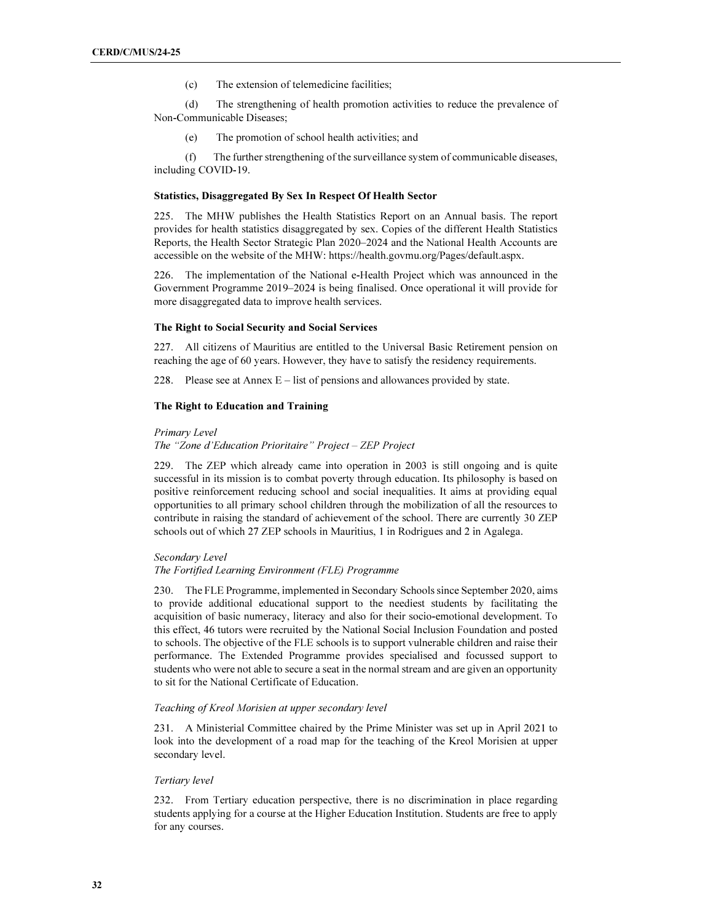(c) The extension of telemedicine facilities;

 (d) The strengthening of health promotion activities to reduce the prevalence of Non-Communicable Diseases;

(e) The promotion of school health activities; and

 (f) The further strengthening of the surveillance system of communicable diseases, including COVID-19.

#### Statistics, Disaggregated By Sex In Respect Of Health Sector

225. The MHW publishes the Health Statistics Report on an Annual basis. The report provides for health statistics disaggregated by sex. Copies of the different Health Statistics Reports, the Health Sector Strategic Plan 2020–2024 and the National Health Accounts are accessible on the website of the MHW: https://health.govmu.org/Pages/default.aspx.

226. The implementation of the National e-Health Project which was announced in the Government Programme 2019–2024 is being finalised. Once operational it will provide for more disaggregated data to improve health services.

#### The Right to Social Security and Social Services

227. All citizens of Mauritius are entitled to the Universal Basic Retirement pension on reaching the age of 60 years. However, they have to satisfy the residency requirements.

228. Please see at Annex  $E - \text{list of persons and allowances provided by state.}$ 

#### The Right to Education and Training

#### Primary Level

The "Zone d'Education Prioritaire" Project – ZEP Project

229. The ZEP which already came into operation in 2003 is still ongoing and is quite successful in its mission is to combat poverty through education. Its philosophy is based on positive reinforcement reducing school and social inequalities. It aims at providing equal opportunities to all primary school children through the mobilization of all the resources to contribute in raising the standard of achievement of the school. There are currently 30 ZEP schools out of which 27 ZEP schools in Mauritius, 1 in Rodrigues and 2 in Agalega.

# Secondary Level

#### The Fortified Learning Environment (FLE) Programme

230. The FLE Programme, implemented in Secondary Schools since September 2020, aims to provide additional educational support to the neediest students by facilitating the acquisition of basic numeracy, literacy and also for their socio-emotional development. To this effect, 46 tutors were recruited by the National Social Inclusion Foundation and posted to schools. The objective of the FLE schools is to support vulnerable children and raise their performance. The Extended Programme provides specialised and focussed support to students who were not able to secure a seat in the normal stream and are given an opportunity to sit for the National Certificate of Education.

#### Teaching of Kreol Morisien at upper secondary level

231. A Ministerial Committee chaired by the Prime Minister was set up in April 2021 to look into the development of a road map for the teaching of the Kreol Morisien at upper secondary level.

# Tertiary level

232. From Tertiary education perspective, there is no discrimination in place regarding students applying for a course at the Higher Education Institution. Students are free to apply for any courses.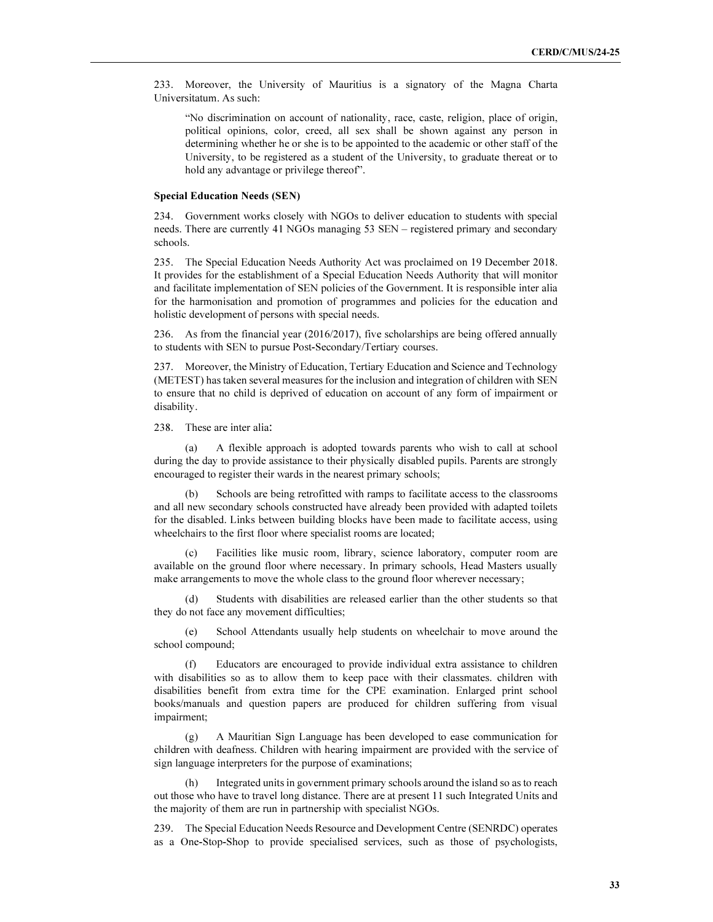233. Moreover, the University of Mauritius is a signatory of the Magna Charta Universitatum. As such:

"No discrimination on account of nationality, race, caste, religion, place of origin, political opinions, color, creed, all sex shall be shown against any person in determining whether he or she is to be appointed to the academic or other staff of the University, to be registered as a student of the University, to graduate thereat or to hold any advantage or privilege thereof".

#### Special Education Needs (SEN)

234. Government works closely with NGOs to deliver education to students with special needs. There are currently 41 NGOs managing 53 SEN – registered primary and secondary schools.

235. The Special Education Needs Authority Act was proclaimed on 19 December 2018. It provides for the establishment of a Special Education Needs Authority that will monitor and facilitate implementation of SEN policies of the Government. It is responsible inter alia for the harmonisation and promotion of programmes and policies for the education and holistic development of persons with special needs.

236. As from the financial year (2016/2017), five scholarships are being offered annually to students with SEN to pursue Post-Secondary/Tertiary courses.

237. Moreover, the Ministry of Education, Tertiary Education and Science and Technology (METEST) has taken several measures for the inclusion and integration of children with SEN to ensure that no child is deprived of education on account of any form of impairment or disability.

238. These are inter alia:

 (a) A flexible approach is adopted towards parents who wish to call at school during the day to provide assistance to their physically disabled pupils. Parents are strongly encouraged to register their wards in the nearest primary schools;

 (b) Schools are being retrofitted with ramps to facilitate access to the classrooms and all new secondary schools constructed have already been provided with adapted toilets for the disabled. Links between building blocks have been made to facilitate access, using wheelchairs to the first floor where specialist rooms are located;

Facilities like music room, library, science laboratory, computer room are available on the ground floor where necessary. In primary schools, Head Masters usually make arrangements to move the whole class to the ground floor wherever necessary;

 (d) Students with disabilities are released earlier than the other students so that they do not face any movement difficulties;

 (e) School Attendants usually help students on wheelchair to move around the school compound;

 (f) Educators are encouraged to provide individual extra assistance to children with disabilities so as to allow them to keep pace with their classmates. children with disabilities benefit from extra time for the CPE examination. Enlarged print school books/manuals and question papers are produced for children suffering from visual impairment;

 (g) A Mauritian Sign Language has been developed to ease communication for children with deafness. Children with hearing impairment are provided with the service of sign language interpreters for the purpose of examinations;

 (h) Integrated units in government primary schools around the island so as to reach out those who have to travel long distance. There are at present 11 such Integrated Units and the majority of them are run in partnership with specialist NGOs.

239. The Special Education Needs Resource and Development Centre (SENRDC) operates as a One-Stop-Shop to provide specialised services, such as those of psychologists,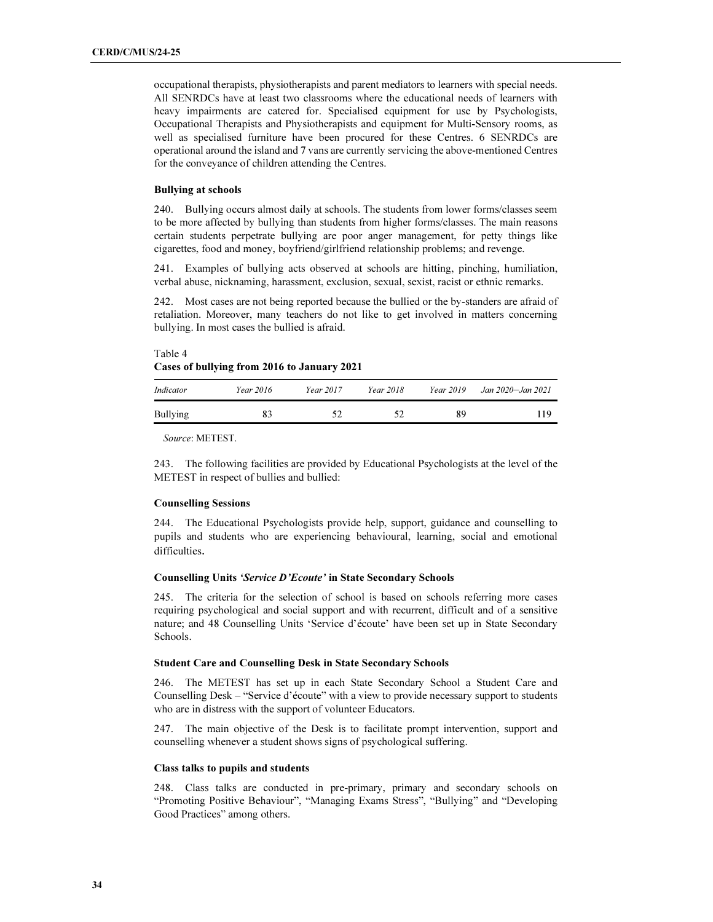occupational therapists, physiotherapists and parent mediators to learners with special needs. All SENRDCs have at least two classrooms where the educational needs of learners with heavy impairments are catered for. Specialised equipment for use by Psychologists, Occupational Therapists and Physiotherapists and equipment for Multi-Sensory rooms, as well as specialised furniture have been procured for these Centres. 6 SENRDCs are operational around the island and 7 vans are currently servicing the above-mentioned Centres for the conveyance of children attending the Centres.

### Bullying at schools

240. Bullying occurs almost daily at schools. The students from lower forms/classes seem to be more affected by bullying than students from higher forms/classes. The main reasons certain students perpetrate bullying are poor anger management, for petty things like cigarettes, food and money, boyfriend/girlfriend relationship problems; and revenge.

241. Examples of bullying acts observed at schools are hitting, pinching, humiliation, verbal abuse, nicknaming, harassment, exclusion, sexual, sexist, racist or ethnic remarks.

242. Most cases are not being reported because the bullied or the by-standers are afraid of retaliation. Moreover, many teachers do not like to get involved in matters concerning bullying. In most cases the bullied is afraid.

# Table 4 Cases of bullying from 2016 to January 2021

| Indicator | Year 2016 | Year 2017 | Year 2018 | <i>Year</i> 2019 | Jan 2020–Jan 2021 |
|-----------|-----------|-----------|-----------|------------------|-------------------|
| Bullying  | 83        |           | 57        | 89               | 19                |

Source: METEST.

243. The following facilities are provided by Educational Psychologists at the level of the METEST in respect of bullies and bullied:

### Counselling Sessions

244. The Educational Psychologists provide help, support, guidance and counselling to pupils and students who are experiencing behavioural, learning, social and emotional difficulties.

#### Counselling Units 'Service D'Ecoute' in State Secondary Schools

245. The criteria for the selection of school is based on schools referring more cases requiring psychological and social support and with recurrent, difficult and of a sensitive nature; and 48 Counselling Units 'Service d'écoute' have been set up in State Secondary Schools.

#### Student Care and Counselling Desk in State Secondary Schools

246. The METEST has set up in each State Secondary School a Student Care and Counselling Desk – "Service d'écoute" with a view to provide necessary support to students who are in distress with the support of volunteer Educators.

247. The main objective of the Desk is to facilitate prompt intervention, support and counselling whenever a student shows signs of psychological suffering.

# Class talks to pupils and students

248. Class talks are conducted in pre-primary, primary and secondary schools on "Promoting Positive Behaviour", "Managing Exams Stress", "Bullying" and "Developing Good Practices" among others.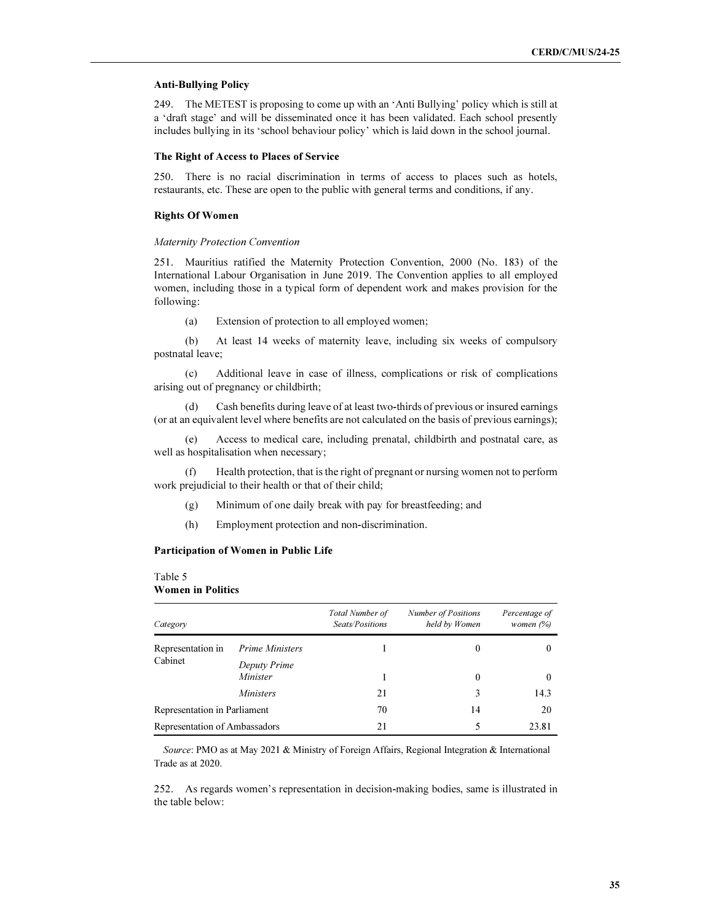### Anti-Bullying Policy

249. The METEST is proposing to come up with an 'Anti Bullying' policy which is still at a 'draft stage' and will be disseminated once it has been validated. Each school presently includes bullying in its 'school behaviour policy' which is laid down in the school journal.

#### The Right of Access to Places of Service

250. There is no racial discrimination in terms of access to places such as hotels, restaurants, etc. These are open to the public with general terms and conditions, if any.

#### Rights Of Women

#### Maternity Protection Convention

251. Mauritius ratified the Maternity Protection Convention, 2000 (No. 183) of the International Labour Organisation in June 2019. The Convention applies to all employed women, including those in a typical form of dependent work and makes provision for the following:

(a) Extension of protection to all employed women;

 (b) At least 14 weeks of maternity leave, including six weeks of compulsory postnatal leave;

 (c) Additional leave in case of illness, complications or risk of complications arising out of pregnancy or childbirth;

 (d) Cash benefits during leave of at least two-thirds of previous or insured earnings (or at an equivalent level where benefits are not calculated on the basis of previous earnings);

 (e) Access to medical care, including prenatal, childbirth and postnatal care, as well as hospitalisation when necessary;

 (f) Health protection, that is the right of pregnant or nursing women not to perform work prejudicial to their health or that of their child;

- (g) Minimum of one daily break with pay for breastfeeding; and
- (h) Employment protection and non-discrimination.

# Participation of Women in Public Life

# Table 5

# Women in Politics

| Category                      |                          | <b>Total Number of</b><br>Seats/Positions | Number of Positions<br>held by Women | Percentage of<br>women $(\%)$ |
|-------------------------------|--------------------------|-------------------------------------------|--------------------------------------|-------------------------------|
| Representation in             | Prime Ministers          |                                           | $\theta$                             |                               |
| Cabinet                       | Deputy Prime<br>Minister |                                           | $\theta$                             | $\theta$                      |
|                               | <i>Ministers</i>         | 21                                        | 3                                    | 14.3                          |
| Representation in Parliament  |                          | 70                                        | 14                                   | 20                            |
| Representation of Ambassadors |                          | 21                                        | 5                                    | 23.81                         |

Source: PMO as at May 2021 & Ministry of Foreign Affairs, Regional Integration & International Trade as at 2020.

252. As regards women's representation in decision-making bodies, same is illustrated in the table below: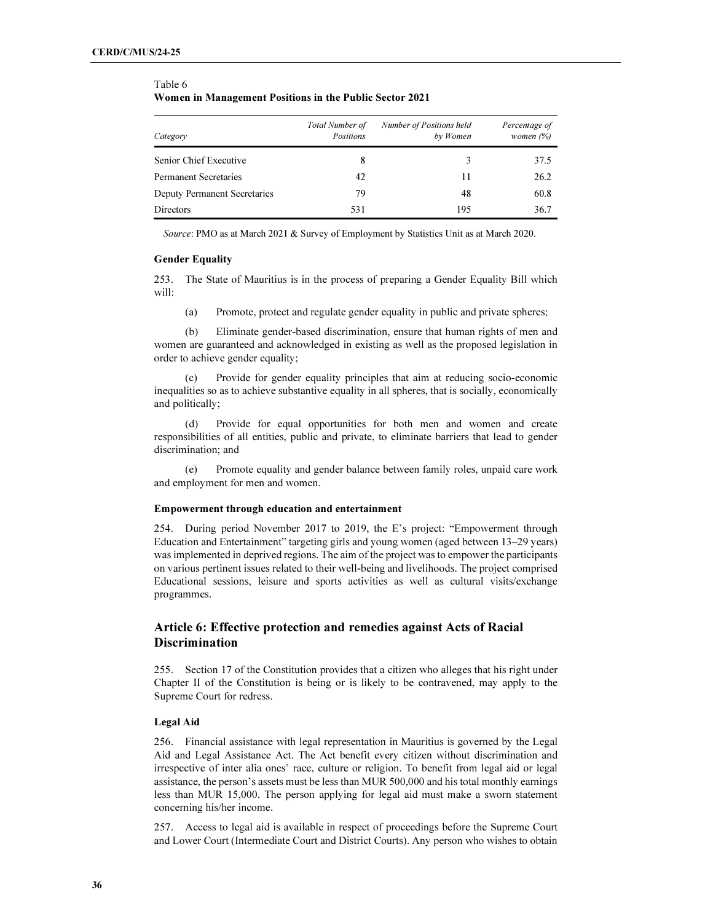#### **Category** Total Number of Positions Number of Positions held by Women Percentage of women (%) Senior Chief Executive 8 3 37.5 Permanent Secretaries 42 11 26.2 Deputy Permanent Secretaries 79 48 60.8 Directors 531 195 36.7

# Table 6 Women in Management Positions in the Public Sector 2021

Source: PMO as at March 2021 & Survey of Employment by Statistics Unit as at March 2020.

#### Gender Equality

253. The State of Mauritius is in the process of preparing a Gender Equality Bill which will:

(a) Promote, protect and regulate gender equality in public and private spheres;

 (b) Eliminate gender-based discrimination, ensure that human rights of men and women are guaranteed and acknowledged in existing as well as the proposed legislation in order to achieve gender equality;

Provide for gender equality principles that aim at reducing socio-economic inequalities so as to achieve substantive equality in all spheres, that is socially, economically and politically;

 (d) Provide for equal opportunities for both men and women and create responsibilities of all entities, public and private, to eliminate barriers that lead to gender discrimination; and

Promote equality and gender balance between family roles, unpaid care work and employment for men and women.

#### Empowerment through education and entertainment

254. During period November 2017 to 2019, the E's project: "Empowerment through Education and Entertainment" targeting girls and young women (aged between 13–29 years) was implemented in deprived regions. The aim of the project was to empower the participants on various pertinent issues related to their well-being and livelihoods. The project comprised Educational sessions, leisure and sports activities as well as cultural visits/exchange programmes.

# Article 6: Effective protection and remedies against Acts of Racial **Discrimination**

255. Section 17 of the Constitution provides that a citizen who alleges that his right under Chapter II of the Constitution is being or is likely to be contravened, may apply to the Supreme Court for redress.

# Legal Aid

256. Financial assistance with legal representation in Mauritius is governed by the Legal Aid and Legal Assistance Act. The Act benefit every citizen without discrimination and irrespective of inter alia ones' race, culture or religion. To benefit from legal aid or legal assistance, the person's assets must be less than MUR 500,000 and his total monthly earnings less than MUR 15,000. The person applying for legal aid must make a sworn statement concerning his/her income.

257. Access to legal aid is available in respect of proceedings before the Supreme Court and Lower Court (Intermediate Court and District Courts). Any person who wishes to obtain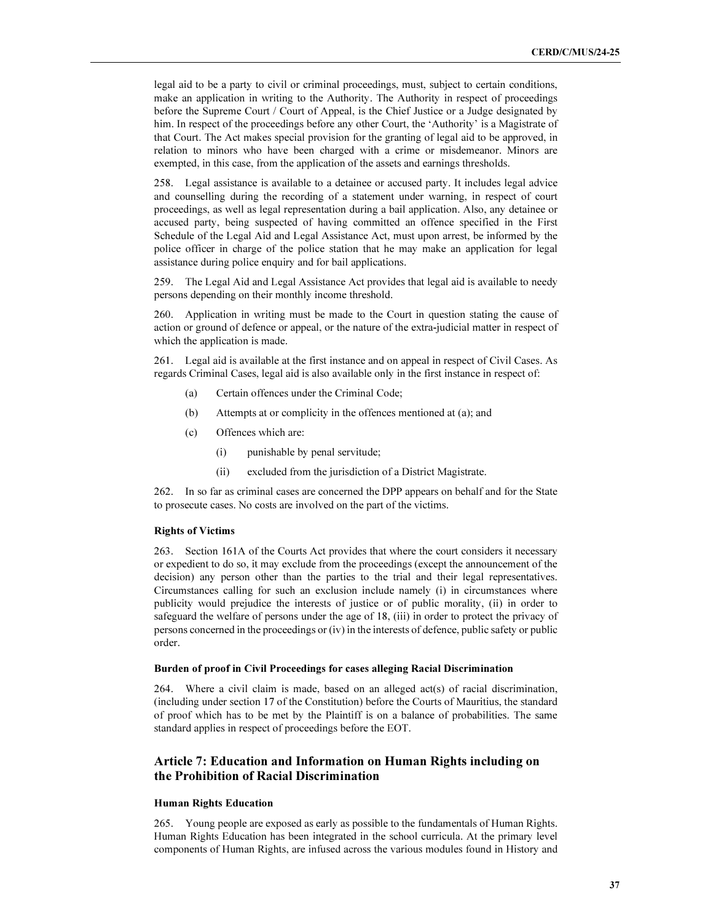legal aid to be a party to civil or criminal proceedings, must, subject to certain conditions, make an application in writing to the Authority. The Authority in respect of proceedings before the Supreme Court / Court of Appeal, is the Chief Justice or a Judge designated by him. In respect of the proceedings before any other Court, the 'Authority' is a Magistrate of that Court. The Act makes special provision for the granting of legal aid to be approved, in relation to minors who have been charged with a crime or misdemeanor. Minors are exempted, in this case, from the application of the assets and earnings thresholds.

258. Legal assistance is available to a detainee or accused party. It includes legal advice and counselling during the recording of a statement under warning, in respect of court proceedings, as well as legal representation during a bail application. Also, any detainee or accused party, being suspected of having committed an offence specified in the First Schedule of the Legal Aid and Legal Assistance Act, must upon arrest, be informed by the police officer in charge of the police station that he may make an application for legal assistance during police enquiry and for bail applications.

259. The Legal Aid and Legal Assistance Act provides that legal aid is available to needy persons depending on their monthly income threshold.

260. Application in writing must be made to the Court in question stating the cause of action or ground of defence or appeal, or the nature of the extra-judicial matter in respect of which the application is made.

261. Legal aid is available at the first instance and on appeal in respect of Civil Cases. As regards Criminal Cases, legal aid is also available only in the first instance in respect of:

- (a) Certain offences under the Criminal Code;
- (b) Attempts at or complicity in the offences mentioned at (a); and
- (c) Offences which are:
	- (i) punishable by penal servitude;
	- (ii) excluded from the jurisdiction of a District Magistrate.

262. In so far as criminal cases are concerned the DPP appears on behalf and for the State to prosecute cases. No costs are involved on the part of the victims.

#### Rights of Victims

263. Section 161A of the Courts Act provides that where the court considers it necessary or expedient to do so, it may exclude from the proceedings (except the announcement of the decision) any person other than the parties to the trial and their legal representatives. Circumstances calling for such an exclusion include namely (i) in circumstances where publicity would prejudice the interests of justice or of public morality, (ii) in order to safeguard the welfare of persons under the age of 18, (iii) in order to protect the privacy of persons concerned in the proceedings or (iv) in the interests of defence, public safety or public order.

#### Burden of proof in Civil Proceedings for cases alleging Racial Discrimination

264. Where a civil claim is made, based on an alleged act(s) of racial discrimination, (including under section 17 of the Constitution) before the Courts of Mauritius, the standard of proof which has to be met by the Plaintiff is on a balance of probabilities. The same standard applies in respect of proceedings before the EOT.

# Article 7: Education and Information on Human Rights including on the Prohibition of Racial Discrimination

# Human Rights Education

265. Young people are exposed as early as possible to the fundamentals of Human Rights. Human Rights Education has been integrated in the school curricula. At the primary level components of Human Rights, are infused across the various modules found in History and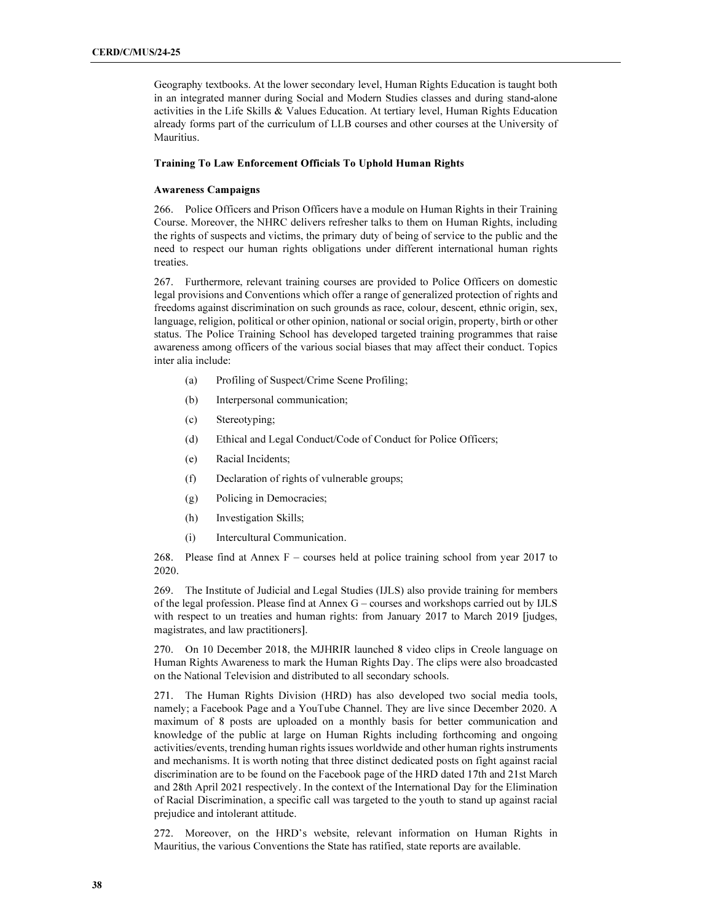Geography textbooks. At the lower secondary level, Human Rights Education is taught both in an integrated manner during Social and Modern Studies classes and during stand-alone activities in the Life Skills & Values Education. At tertiary level, Human Rights Education already forms part of the curriculum of LLB courses and other courses at the University of Mauritius.

### Training To Law Enforcement Officials To Uphold Human Rights

### Awareness Campaigns

266. Police Officers and Prison Officers have a module on Human Rights in their Training Course. Moreover, the NHRC delivers refresher talks to them on Human Rights, including the rights of suspects and victims, the primary duty of being of service to the public and the need to respect our human rights obligations under different international human rights treaties.

267. Furthermore, relevant training courses are provided to Police Officers on domestic legal provisions and Conventions which offer a range of generalized protection of rights and freedoms against discrimination on such grounds as race, colour, descent, ethnic origin, sex, language, religion, political or other opinion, national or social origin, property, birth or other status. The Police Training School has developed targeted training programmes that raise awareness among officers of the various social biases that may affect their conduct. Topics inter alia include:

- (a) Profiling of Suspect/Crime Scene Profiling;
- (b) Interpersonal communication;
- (c) Stereotyping;
- (d) Ethical and Legal Conduct/Code of Conduct for Police Officers;
- (e) Racial Incidents;
- (f) Declaration of rights of vulnerable groups;
- (g) Policing in Democracies;
- (h) Investigation Skills;
- (i) Intercultural Communication.

268. Please find at Annex F – courses held at police training school from year 2017 to 2020.

269. The Institute of Judicial and Legal Studies (IJLS) also provide training for members of the legal profession. Please find at Annex G – courses and workshops carried out by IJLS with respect to un treaties and human rights: from January 2017 to March 2019 [judges, magistrates, and law practitioners].

270. On 10 December 2018, the MJHRIR launched 8 video clips in Creole language on Human Rights Awareness to mark the Human Rights Day. The clips were also broadcasted on the National Television and distributed to all secondary schools.

271. The Human Rights Division (HRD) has also developed two social media tools, namely; a Facebook Page and a YouTube Channel. They are live since December 2020. A maximum of 8 posts are uploaded on a monthly basis for better communication and knowledge of the public at large on Human Rights including forthcoming and ongoing activities/events, trending human rights issues worldwide and other human rights instruments and mechanisms. It is worth noting that three distinct dedicated posts on fight against racial discrimination are to be found on the Facebook page of the HRD dated 17th and 21st March and 28th April 2021 respectively. In the context of the International Day for the Elimination of Racial Discrimination, a specific call was targeted to the youth to stand up against racial prejudice and intolerant attitude.

272. Moreover, on the HRD's website, relevant information on Human Rights in Mauritius, the various Conventions the State has ratified, state reports are available.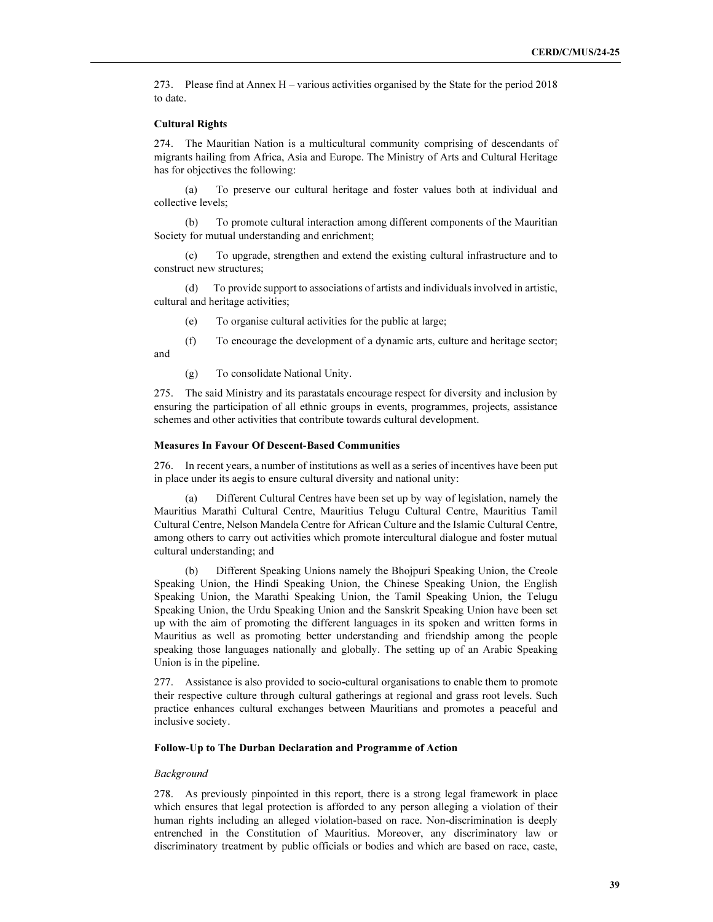273. Please find at Annex H – various activities organised by the State for the period 2018 to date.

#### Cultural Rights

274. The Mauritian Nation is a multicultural community comprising of descendants of migrants hailing from Africa, Asia and Europe. The Ministry of Arts and Cultural Heritage has for objectives the following:

 (a) To preserve our cultural heritage and foster values both at individual and collective levels;

 (b) To promote cultural interaction among different components of the Mauritian Society for mutual understanding and enrichment;

 (c) To upgrade, strengthen and extend the existing cultural infrastructure and to construct new structures;

 (d) To provide support to associations of artists and individuals involved in artistic, cultural and heritage activities;

- (e) To organise cultural activities for the public at large;
- (f) To encourage the development of a dynamic arts, culture and heritage sector;

and

(g) To consolidate National Unity.

275. The said Ministry and its parastatals encourage respect for diversity and inclusion by ensuring the participation of all ethnic groups in events, programmes, projects, assistance schemes and other activities that contribute towards cultural development.

#### Measures In Favour Of Descent-Based Communities

276. In recent years, a number of institutions as well as a series of incentives have been put in place under its aegis to ensure cultural diversity and national unity:

 (a) Different Cultural Centres have been set up by way of legislation, namely the Mauritius Marathi Cultural Centre, Mauritius Telugu Cultural Centre, Mauritius Tamil Cultural Centre, Nelson Mandela Centre for African Culture and the Islamic Cultural Centre, among others to carry out activities which promote intercultural dialogue and foster mutual cultural understanding; and

 (b) Different Speaking Unions namely the Bhojpuri Speaking Union, the Creole Speaking Union, the Hindi Speaking Union, the Chinese Speaking Union, the English Speaking Union, the Marathi Speaking Union, the Tamil Speaking Union, the Telugu Speaking Union, the Urdu Speaking Union and the Sanskrit Speaking Union have been set up with the aim of promoting the different languages in its spoken and written forms in Mauritius as well as promoting better understanding and friendship among the people speaking those languages nationally and globally. The setting up of an Arabic Speaking Union is in the pipeline.

277. Assistance is also provided to socio-cultural organisations to enable them to promote their respective culture through cultural gatherings at regional and grass root levels. Such practice enhances cultural exchanges between Mauritians and promotes a peaceful and inclusive society.

# Follow-Up to The Durban Declaration and Programme of Action

#### Background

278. As previously pinpointed in this report, there is a strong legal framework in place which ensures that legal protection is afforded to any person alleging a violation of their human rights including an alleged violation-based on race. Non-discrimination is deeply entrenched in the Constitution of Mauritius. Moreover, any discriminatory law or discriminatory treatment by public officials or bodies and which are based on race, caste,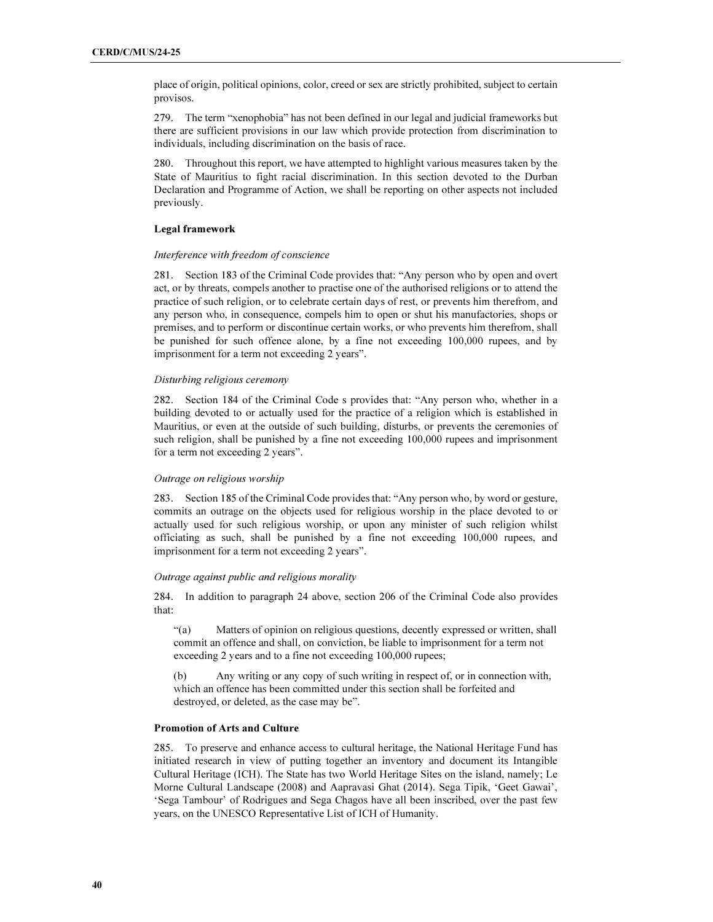place of origin, political opinions, color, creed or sex are strictly prohibited, subject to certain provisos.

279. The term "xenophobia" has not been defined in our legal and judicial frameworks but there are sufficient provisions in our law which provide protection from discrimination to individuals, including discrimination on the basis of race.

280. Throughout this report, we have attempted to highlight various measures taken by the State of Mauritius to fight racial discrimination. In this section devoted to the Durban Declaration and Programme of Action, we shall be reporting on other aspects not included previously.

# Legal framework

# Interference with freedom of conscience

281. Section 183 of the Criminal Code provides that: "Any person who by open and overt act, or by threats, compels another to practise one of the authorised religions or to attend the practice of such religion, or to celebrate certain days of rest, or prevents him therefrom, and any person who, in consequence, compels him to open or shut his manufactories, shops or premises, and to perform or discontinue certain works, or who prevents him therefrom, shall be punished for such offence alone, by a fine not exceeding 100,000 rupees, and by imprisonment for a term not exceeding 2 years".

#### Disturbing religious ceremony

282. Section 184 of the Criminal Code s provides that: "Any person who, whether in a building devoted to or actually used for the practice of a religion which is established in Mauritius, or even at the outside of such building, disturbs, or prevents the ceremonies of such religion, shall be punished by a fine not exceeding 100,000 rupees and imprisonment for a term not exceeding 2 years".

# Outrage on religious worship

283. Section 185 of the Criminal Code provides that: "Any person who, by word or gesture, commits an outrage on the objects used for religious worship in the place devoted to or actually used for such religious worship, or upon any minister of such religion whilst officiating as such, shall be punished by a fine not exceeding 100,000 rupees, and imprisonment for a term not exceeding 2 years".

# Outrage against public and religious morality

284. In addition to paragraph 24 above, section 206 of the Criminal Code also provides that:

"(a) Matters of opinion on religious questions, decently expressed or written, shall commit an offence and shall, on conviction, be liable to imprisonment for a term not exceeding 2 years and to a fine not exceeding 100,000 rupees;

(b) Any writing or any copy of such writing in respect of, or in connection with, which an offence has been committed under this section shall be forfeited and destroyed, or deleted, as the case may be".

# Promotion of Arts and Culture

285. To preserve and enhance access to cultural heritage, the National Heritage Fund has initiated research in view of putting together an inventory and document its Intangible Cultural Heritage (ICH). The State has two World Heritage Sites on the island, namely; Le Morne Cultural Landscape (2008) and Aapravasi Ghat (2014). Sega Tipik, 'Geet Gawai', 'Sega Tambour' of Rodrigues and Sega Chagos have all been inscribed, over the past few years, on the UNESCO Representative List of ICH of Humanity.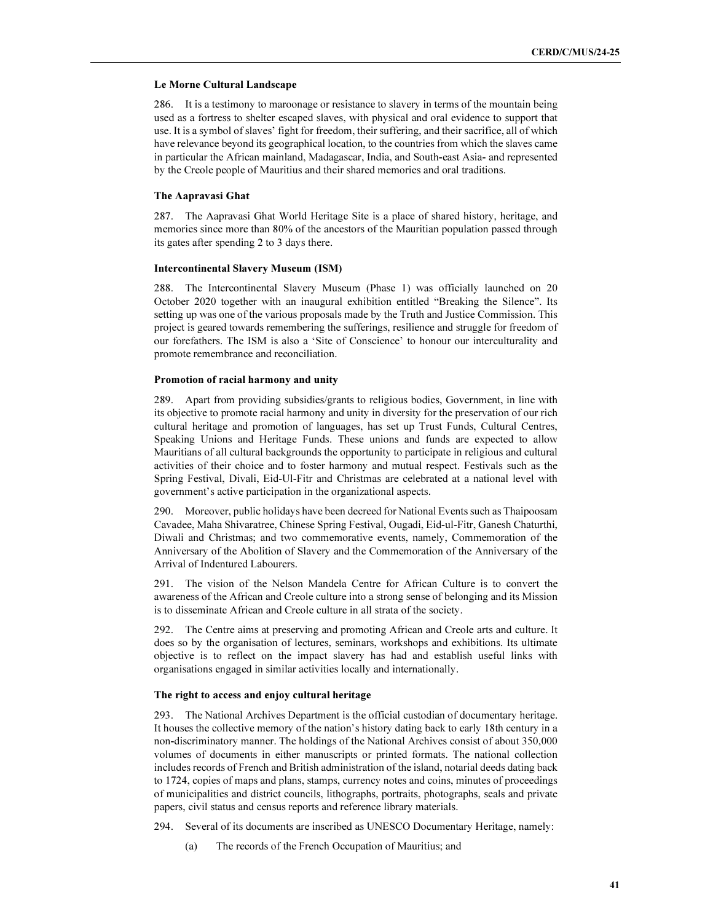#### Le Morne Cultural Landscape

286. It is a testimony to maroonage or resistance to slavery in terms of the mountain being used as a fortress to shelter escaped slaves, with physical and oral evidence to support that use. It is a symbol of slaves' fight for freedom, their suffering, and their sacrifice, all of which have relevance beyond its geographical location, to the countries from which the slaves came in particular the African mainland, Madagascar, India, and South-east Asia- and represented by the Creole people of Mauritius and their shared memories and oral traditions.

### The Aapravasi Ghat

287. The Aapravasi Ghat World Heritage Site is a place of shared history, heritage, and memories since more than 80% of the ancestors of the Mauritian population passed through its gates after spending 2 to 3 days there.

# Intercontinental Slavery Museum (ISM)

288. The Intercontinental Slavery Museum (Phase 1) was officially launched on 20 October 2020 together with an inaugural exhibition entitled "Breaking the Silence". Its setting up was one of the various proposals made by the Truth and Justice Commission. This project is geared towards remembering the sufferings, resilience and struggle for freedom of our forefathers. The ISM is also a 'Site of Conscience' to honour our interculturality and promote remembrance and reconciliation.

#### Promotion of racial harmony and unity

289. Apart from providing subsidies/grants to religious bodies, Government, in line with its objective to promote racial harmony and unity in diversity for the preservation of our rich cultural heritage and promotion of languages, has set up Trust Funds, Cultural Centres, Speaking Unions and Heritage Funds. These unions and funds are expected to allow Mauritians of all cultural backgrounds the opportunity to participate in religious and cultural activities of their choice and to foster harmony and mutual respect. Festivals such as the Spring Festival, Divali, Eid-Ul-Fitr and Christmas are celebrated at a national level with government's active participation in the organizational aspects.

290. Moreover, public holidays have been decreed for National Events such as Thaipoosam Cavadee, Maha Shivaratree, Chinese Spring Festival, Ougadi, Eid-ul-Fitr, Ganesh Chaturthi, Diwali and Christmas; and two commemorative events, namely, Commemoration of the Anniversary of the Abolition of Slavery and the Commemoration of the Anniversary of the Arrival of Indentured Labourers.

291. The vision of the Nelson Mandela Centre for African Culture is to convert the awareness of the African and Creole culture into a strong sense of belonging and its Mission is to disseminate African and Creole culture in all strata of the society.

292. The Centre aims at preserving and promoting African and Creole arts and culture. It does so by the organisation of lectures, seminars, workshops and exhibitions. Its ultimate objective is to reflect on the impact slavery has had and establish useful links with organisations engaged in similar activities locally and internationally.

#### The right to access and enjoy cultural heritage

293. The National Archives Department is the official custodian of documentary heritage. It houses the collective memory of the nation's history dating back to early 18th century in a non-discriminatory manner. The holdings of the National Archives consist of about 350,000 volumes of documents in either manuscripts or printed formats. The national collection includes records of French and British administration of the island, notarial deeds dating back to 1724, copies of maps and plans, stamps, currency notes and coins, minutes of proceedings of municipalities and district councils, lithographs, portraits, photographs, seals and private papers, civil status and census reports and reference library materials.

294. Several of its documents are inscribed as UNESCO Documentary Heritage, namely:

(a) The records of the French Occupation of Mauritius; and